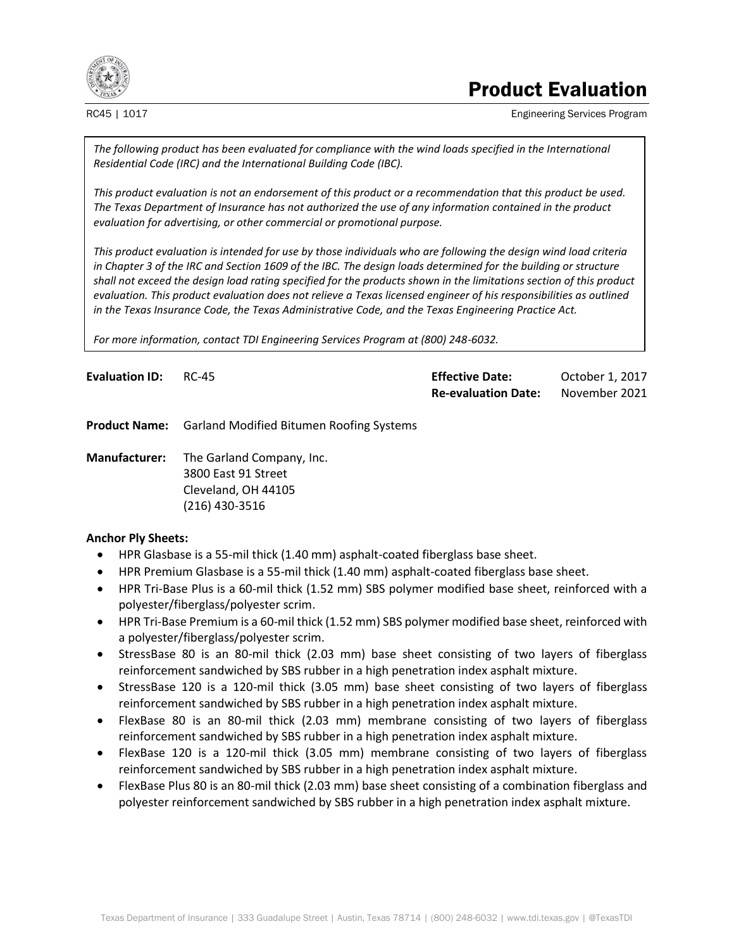

# Product Evaluation

RC45 | 1017 **Engineering Services Program** Engineering Services Program

*The following product has been evaluated for compliance with the wind loads specified in the International Residential Code (IRC) and the International Building Code (IBC).*

*This product evaluation is not an endorsement of this product or a recommendation that this product be used. The Texas Department of Insurance has not authorized the use of any information contained in the product evaluation for advertising, or other commercial or promotional purpose.*

*This product evaluation is intended for use by those individuals who are following the design wind load criteria in Chapter 3 of the IRC and Section 1609 of the IBC. The design loads determined for the building or structure shall not exceed the design load rating specified for the products shown in the limitations section of this product evaluation. This product evaluation does not relieve a Texas licensed engineer of his responsibilities as outlined in the Texas Insurance Code, the Texas Administrative Code, and the Texas Engineering Practice Act.*

*For more information, contact TDI Engineering Services Program at (800) 248-6032.*

| <b>Evaluation ID: RC-45</b> | <b>Effective Date:</b>     | October 1, 2017 |
|-----------------------------|----------------------------|-----------------|
|                             | <b>Re-evaluation Date:</b> | November 2021   |

**Product Name:** Garland Modified Bitumen Roofing Systems

**Manufacturer:** The Garland Company, Inc. 3800 East 91 Street Cleveland, OH 44105 (216) 430-3516

## **Anchor Ply Sheets:**

- HPR Glasbase is a 55-mil thick (1.40 mm) asphalt-coated fiberglass base sheet.
- HPR Premium Glasbase is a 55-mil thick (1.40 mm) asphalt-coated fiberglass base sheet.
- HPR Tri-Base Plus is a 60-mil thick (1.52 mm) SBS polymer modified base sheet, reinforced with a polyester/fiberglass/polyester scrim.
- HPR Tri-Base Premium is a 60-mil thick (1.52 mm) SBS polymer modified base sheet, reinforced with a polyester/fiberglass/polyester scrim.
- StressBase 80 is an 80-mil thick (2.03 mm) base sheet consisting of two layers of fiberglass reinforcement sandwiched by SBS rubber in a high penetration index asphalt mixture.
- StressBase 120 is a 120-mil thick (3.05 mm) base sheet consisting of two layers of fiberglass reinforcement sandwiched by SBS rubber in a high penetration index asphalt mixture.
- FlexBase 80 is an 80-mil thick (2.03 mm) membrane consisting of two layers of fiberglass reinforcement sandwiched by SBS rubber in a high penetration index asphalt mixture.
- FlexBase 120 is a 120-mil thick (3.05 mm) membrane consisting of two layers of fiberglass reinforcement sandwiched by SBS rubber in a high penetration index asphalt mixture.
- FlexBase Plus 80 is an 80-mil thick (2.03 mm) base sheet consisting of a combination fiberglass and polyester reinforcement sandwiched by SBS rubber in a high penetration index asphalt mixture.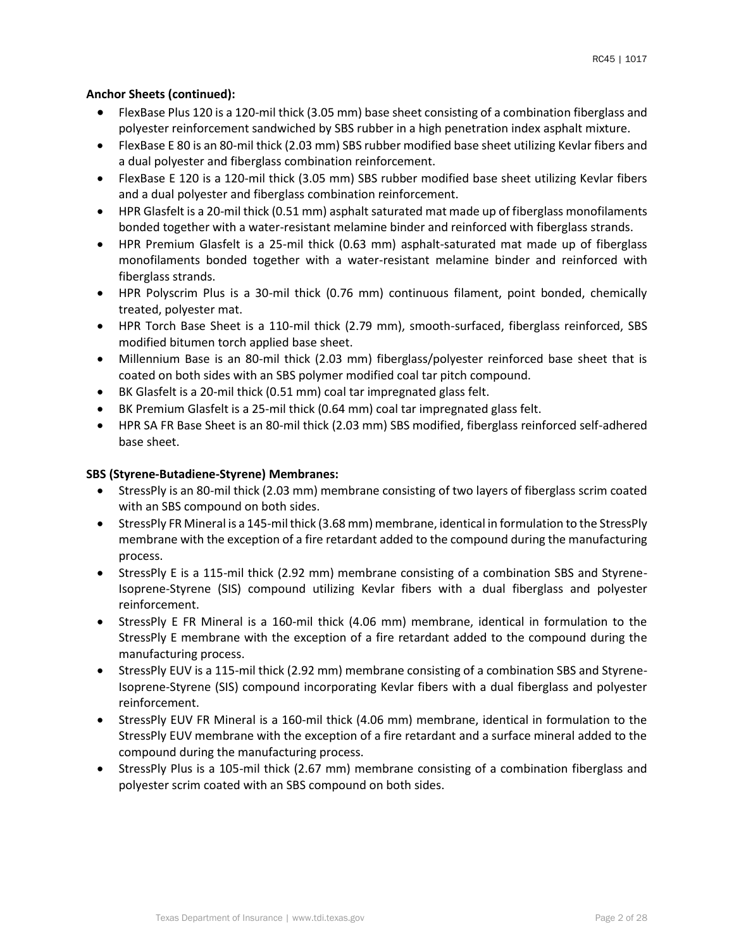# **Anchor Sheets (continued):**

- FlexBase Plus 120 is a 120-mil thick (3.05 mm) base sheet consisting of a combination fiberglass and polyester reinforcement sandwiched by SBS rubber in a high penetration index asphalt mixture.
- FlexBase E 80 is an 80-mil thick (2.03 mm) SBS rubber modified base sheet utilizing Kevlar fibers and a dual polyester and fiberglass combination reinforcement.
- FlexBase E 120 is a 120-mil thick (3.05 mm) SBS rubber modified base sheet utilizing Kevlar fibers and a dual polyester and fiberglass combination reinforcement.
- HPR Glasfelt is a 20-mil thick (0.51 mm) asphalt saturated mat made up of fiberglass monofilaments bonded together with a water-resistant melamine binder and reinforced with fiberglass strands.
- HPR Premium Glasfelt is a 25-mil thick (0.63 mm) asphalt-saturated mat made up of fiberglass monofilaments bonded together with a water-resistant melamine binder and reinforced with fiberglass strands.
- HPR Polyscrim Plus is a 30-mil thick (0.76 mm) continuous filament, point bonded, chemically treated, polyester mat.
- HPR Torch Base Sheet is a 110-mil thick (2.79 mm), smooth-surfaced, fiberglass reinforced, SBS modified bitumen torch applied base sheet.
- Millennium Base is an 80-mil thick (2.03 mm) fiberglass/polyester reinforced base sheet that is coated on both sides with an SBS polymer modified coal tar pitch compound.
- BK Glasfelt is a 20-mil thick (0.51 mm) coal tar impregnated glass felt.
- BK Premium Glasfelt is a 25-mil thick (0.64 mm) coal tar impregnated glass felt.
- HPR SA FR Base Sheet is an 80-mil thick (2.03 mm) SBS modified, fiberglass reinforced self-adhered base sheet.

# **SBS (Styrene-Butadiene-Styrene) Membranes:**

- StressPly is an 80-mil thick (2.03 mm) membrane consisting of two layers of fiberglass scrim coated with an SBS compound on both sides.
- StressPly FR Mineral is a 145-mil thick (3.68 mm) membrane, identical in formulation to the StressPly membrane with the exception of a fire retardant added to the compound during the manufacturing process.
- StressPly E is a 115-mil thick (2.92 mm) membrane consisting of a combination SBS and Styrene-Isoprene-Styrene (SIS) compound utilizing Kevlar fibers with a dual fiberglass and polyester reinforcement.
- StressPly E FR Mineral is a 160-mil thick (4.06 mm) membrane, identical in formulation to the StressPly E membrane with the exception of a fire retardant added to the compound during the manufacturing process.
- StressPly EUV is a 115-mil thick (2.92 mm) membrane consisting of a combination SBS and Styrene-Isoprene-Styrene (SIS) compound incorporating Kevlar fibers with a dual fiberglass and polyester reinforcement.
- StressPly EUV FR Mineral is a 160-mil thick (4.06 mm) membrane, identical in formulation to the StressPly EUV membrane with the exception of a fire retardant and a surface mineral added to the compound during the manufacturing process.
- StressPly Plus is a 105-mil thick (2.67 mm) membrane consisting of a combination fiberglass and polyester scrim coated with an SBS compound on both sides.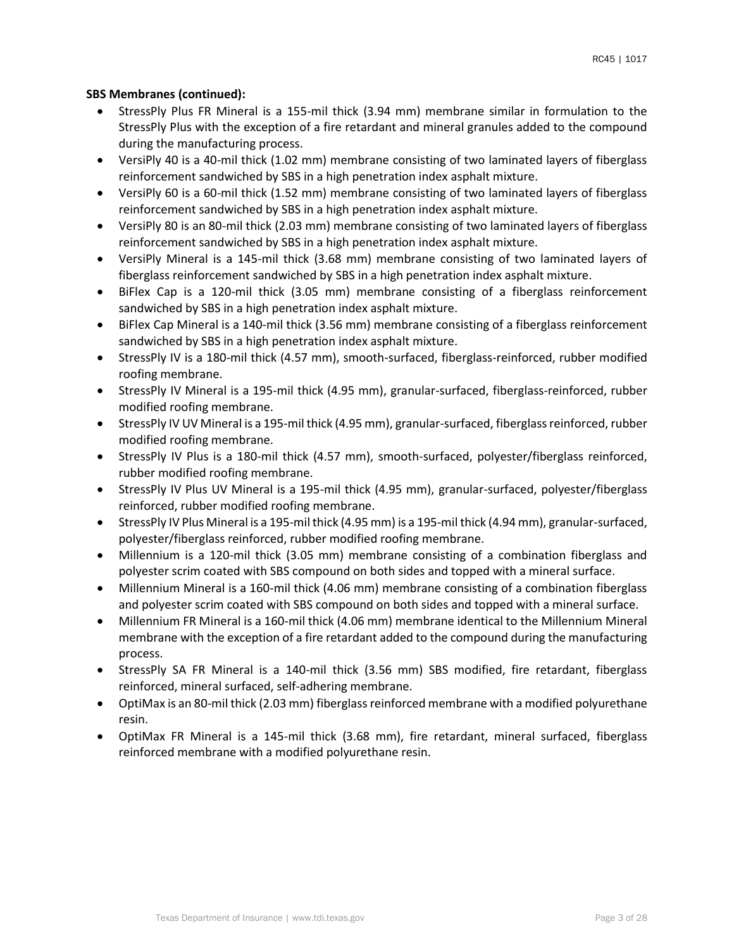## **SBS Membranes (continued):**

- StressPly Plus FR Mineral is a 155-mil thick (3.94 mm) membrane similar in formulation to the StressPly Plus with the exception of a fire retardant and mineral granules added to the compound during the manufacturing process.
- VersiPly 40 is a 40-mil thick (1.02 mm) membrane consisting of two laminated layers of fiberglass reinforcement sandwiched by SBS in a high penetration index asphalt mixture.
- VersiPly 60 is a 60-mil thick (1.52 mm) membrane consisting of two laminated layers of fiberglass reinforcement sandwiched by SBS in a high penetration index asphalt mixture.
- VersiPly 80 is an 80-mil thick (2.03 mm) membrane consisting of two laminated layers of fiberglass reinforcement sandwiched by SBS in a high penetration index asphalt mixture.
- VersiPly Mineral is a 145-mil thick (3.68 mm) membrane consisting of two laminated layers of fiberglass reinforcement sandwiched by SBS in a high penetration index asphalt mixture.
- BiFlex Cap is a 120-mil thick (3.05 mm) membrane consisting of a fiberglass reinforcement sandwiched by SBS in a high penetration index asphalt mixture.
- BiFlex Cap Mineral is a 140-mil thick (3.56 mm) membrane consisting of a fiberglass reinforcement sandwiched by SBS in a high penetration index asphalt mixture.
- StressPly IV is a 180-mil thick (4.57 mm), smooth-surfaced, fiberglass-reinforced, rubber modified roofing membrane.
- StressPly IV Mineral is a 195-mil thick (4.95 mm), granular-surfaced, fiberglass-reinforced, rubber modified roofing membrane.
- StressPly IV UV Mineral is a 195-mil thick (4.95 mm), granular-surfaced, fiberglass reinforced, rubber modified roofing membrane.
- StressPly IV Plus is a 180-mil thick (4.57 mm), smooth-surfaced, polyester/fiberglass reinforced, rubber modified roofing membrane.
- StressPly IV Plus UV Mineral is a 195-mil thick (4.95 mm), granular-surfaced, polyester/fiberglass reinforced, rubber modified roofing membrane.
- StressPly IV Plus Mineral is a 195-mil thick (4.95 mm) is a 195-mil thick (4.94 mm), granular-surfaced, polyester/fiberglass reinforced, rubber modified roofing membrane.
- Millennium is a 120-mil thick (3.05 mm) membrane consisting of a combination fiberglass and polyester scrim coated with SBS compound on both sides and topped with a mineral surface.
- Millennium Mineral is a 160-mil thick (4.06 mm) membrane consisting of a combination fiberglass and polyester scrim coated with SBS compound on both sides and topped with a mineral surface.
- Millennium FR Mineral is a 160-mil thick (4.06 mm) membrane identical to the Millennium Mineral membrane with the exception of a fire retardant added to the compound during the manufacturing process.
- StressPly SA FR Mineral is a 140-mil thick (3.56 mm) SBS modified, fire retardant, fiberglass reinforced, mineral surfaced, self-adhering membrane.
- OptiMax is an 80-mil thick (2.03 mm) fiberglass reinforced membrane with a modified polyurethane resin.
- OptiMax FR Mineral is a 145-mil thick (3.68 mm), fire retardant, mineral surfaced, fiberglass reinforced membrane with a modified polyurethane resin.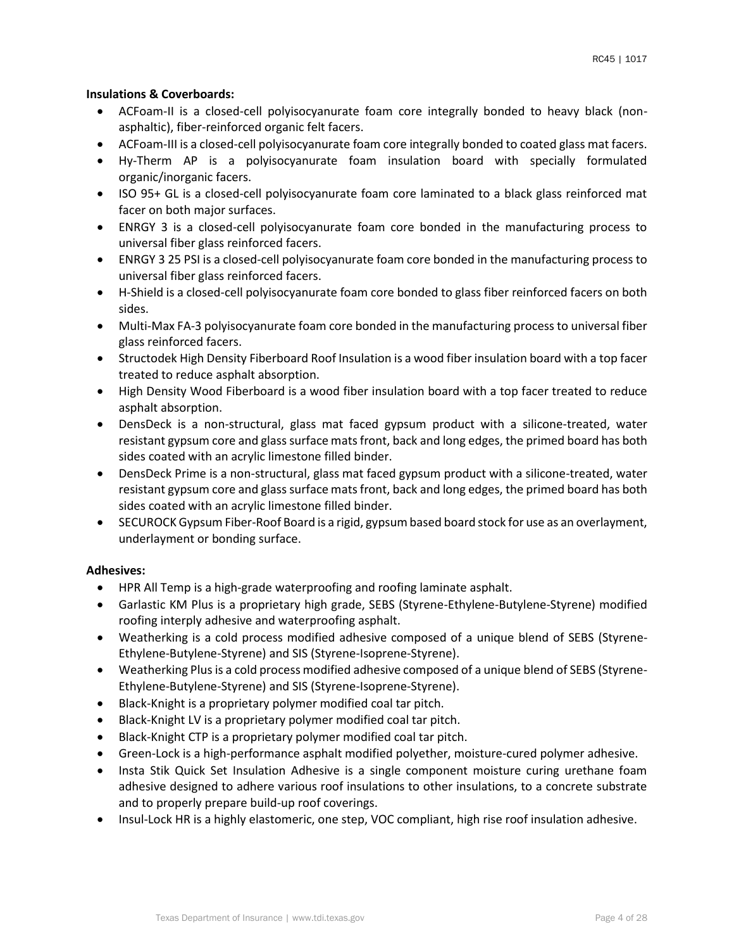#### **Insulations & Coverboards:**

- ACFoam-II is a closed-cell polyisocyanurate foam core integrally bonded to heavy black (nonasphaltic), fiber-reinforced organic felt facers.
- ACFoam-III is a closed-cell polyisocyanurate foam core integrally bonded to coated glass mat facers.
- Hy-Therm AP is a polyisocyanurate foam insulation board with specially formulated organic/inorganic facers.
- ISO 95+ GL is a closed-cell polyisocyanurate foam core laminated to a black glass reinforced mat facer on both major surfaces.
- ENRGY 3 is a closed-cell polyisocyanurate foam core bonded in the manufacturing process to universal fiber glass reinforced facers.
- ENRGY 3 25 PSI is a closed-cell polyisocyanurate foam core bonded in the manufacturing process to universal fiber glass reinforced facers.
- H-Shield is a closed-cell polyisocyanurate foam core bonded to glass fiber reinforced facers on both sides.
- Multi-Max FA-3 polyisocyanurate foam core bonded in the manufacturing process to universal fiber glass reinforced facers.
- Structodek High Density Fiberboard Roof Insulation is a wood fiber insulation board with a top facer treated to reduce asphalt absorption.
- High Density Wood Fiberboard is a wood fiber insulation board with a top facer treated to reduce asphalt absorption.
- DensDeck is a non-structural, glass mat faced gypsum product with a silicone-treated, water resistant gypsum core and glass surface mats front, back and long edges, the primed board has both sides coated with an acrylic limestone filled binder.
- DensDeck Prime is a non-structural, glass mat faced gypsum product with a silicone-treated, water resistant gypsum core and glass surface mats front, back and long edges, the primed board has both sides coated with an acrylic limestone filled binder.
- SECUROCK Gypsum Fiber-Roof Board is a rigid, gypsum based board stock for use as an overlayment, underlayment or bonding surface.

## **Adhesives:**

- HPR All Temp is a high-grade waterproofing and roofing laminate asphalt.
- Garlastic KM Plus is a proprietary high grade, SEBS (Styrene-Ethylene-Butylene-Styrene) modified roofing interply adhesive and waterproofing asphalt.
- Weatherking is a cold process modified adhesive composed of a unique blend of SEBS (Styrene-Ethylene-Butylene-Styrene) and SIS (Styrene-Isoprene-Styrene).
- Weatherking Plus is a cold process modified adhesive composed of a unique blend of SEBS (Styrene-Ethylene-Butylene-Styrene) and SIS (Styrene-Isoprene-Styrene).
- Black-Knight is a proprietary polymer modified coal tar pitch.
- Black-Knight LV is a proprietary polymer modified coal tar pitch.
- Black-Knight CTP is a proprietary polymer modified coal tar pitch.
- Green-Lock is a high-performance asphalt modified polyether, moisture-cured polymer adhesive.
- Insta Stik Quick Set Insulation Adhesive is a single component moisture curing urethane foam adhesive designed to adhere various roof insulations to other insulations, to a concrete substrate and to properly prepare build-up roof coverings.
- Insul-Lock HR is a highly elastomeric, one step, VOC compliant, high rise roof insulation adhesive.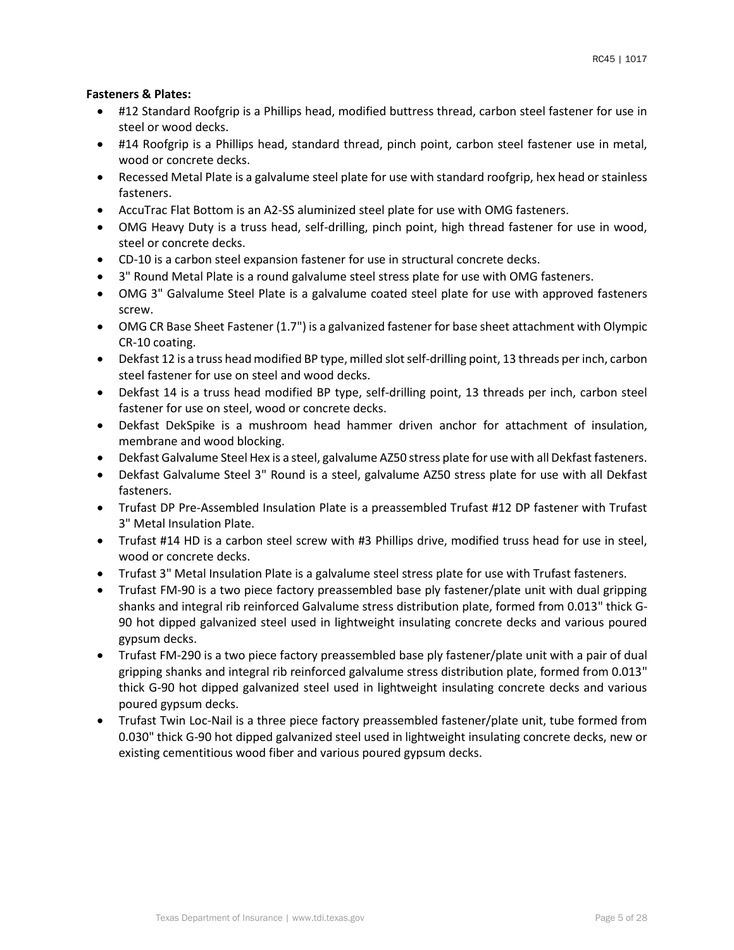## **Fasteners & Plates:**

- #12 Standard Roofgrip is a Phillips head, modified buttress thread, carbon steel fastener for use in steel or wood decks.
- #14 Roofgrip is a Phillips head, standard thread, pinch point, carbon steel fastener use in metal, wood or concrete decks.
- Recessed Metal Plate is a galvalume steel plate for use with standard roofgrip, hex head or stainless fasteners.
- AccuTrac Flat Bottom is an A2-SS aluminized steel plate for use with OMG fasteners.
- OMG Heavy Duty is a truss head, self-drilling, pinch point, high thread fastener for use in wood, steel or concrete decks.
- CD-10 is a carbon steel expansion fastener for use in structural concrete decks.
- 3" Round Metal Plate is a round galvalume steel stress plate for use with OMG fasteners.
- OMG 3" Galvalume Steel Plate is a galvalume coated steel plate for use with approved fasteners screw.
- OMG CR Base Sheet Fastener (1.7") is a galvanized fastener for base sheet attachment with Olympic CR-10 coating.
- Dekfast 12 is a truss head modified BP type, milled slot self-drilling point, 13 threads per inch, carbon steel fastener for use on steel and wood decks.
- Dekfast 14 is a truss head modified BP type, self-drilling point, 13 threads per inch, carbon steel fastener for use on steel, wood or concrete decks.
- Dekfast DekSpike is a mushroom head hammer driven anchor for attachment of insulation, membrane and wood blocking.
- Dekfast Galvalume Steel Hex is a steel, galvalume AZ50 stress plate for use with all Dekfast fasteners.
- Dekfast Galvalume Steel 3" Round is a steel, galvalume AZ50 stress plate for use with all Dekfast fasteners.
- Trufast DP Pre-Assembled Insulation Plate is a preassembled Trufast #12 DP fastener with Trufast 3" Metal Insulation Plate.
- Trufast #14 HD is a carbon steel screw with #3 Phillips drive, modified truss head for use in steel, wood or concrete decks.
- Trufast 3" Metal Insulation Plate is a galvalume steel stress plate for use with Trufast fasteners.
- Trufast FM-90 is a two piece factory preassembled base ply fastener/plate unit with dual gripping shanks and integral rib reinforced Galvalume stress distribution plate, formed from 0.013" thick G-90 hot dipped galvanized steel used in lightweight insulating concrete decks and various poured gypsum decks.
- Trufast FM-290 is a two piece factory preassembled base ply fastener/plate unit with a pair of dual gripping shanks and integral rib reinforced galvalume stress distribution plate, formed from 0.013" thick G-90 hot dipped galvanized steel used in lightweight insulating concrete decks and various poured gypsum decks.
- Trufast Twin Loc-Nail is a three piece factory preassembled fastener/plate unit, tube formed from 0.030" thick G-90 hot dipped galvanized steel used in lightweight insulating concrete decks, new or existing cementitious wood fiber and various poured gypsum decks.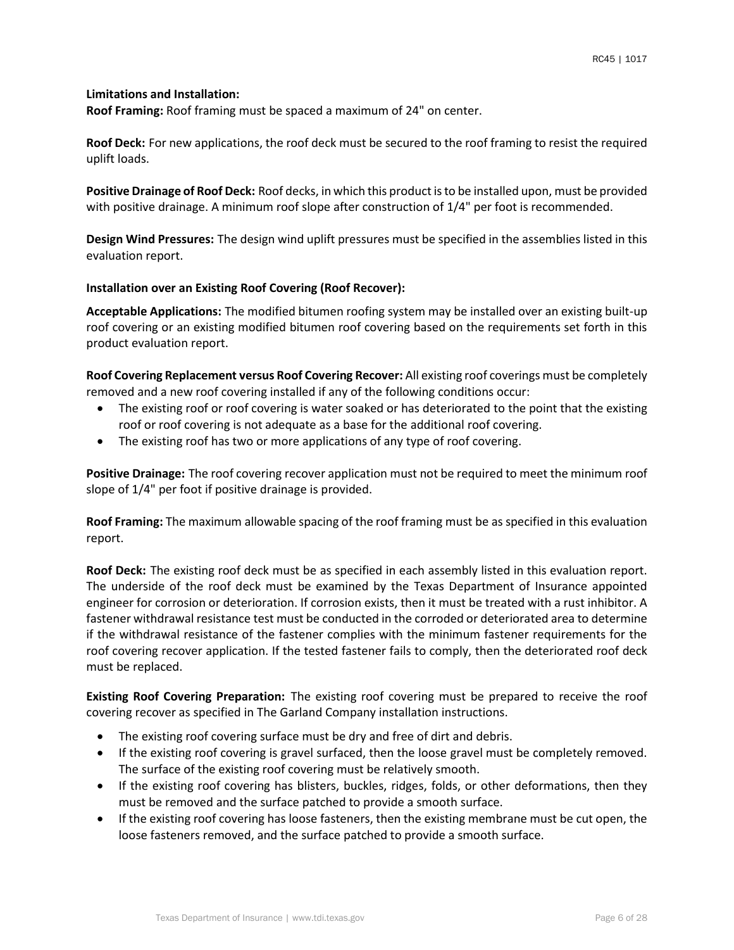#### **Limitations and Installation:**

**Roof Framing:** Roof framing must be spaced a maximum of 24" on center.

**Roof Deck:** For new applications, the roof deck must be secured to the roof framing to resist the required uplift loads.

**Positive Drainage of Roof Deck:** Roof decks, in which this product is to be installed upon, must be provided with positive drainage. A minimum roof slope after construction of  $1/4$ " per foot is recommended.

**Design Wind Pressures:** The design wind uplift pressures must be specified in the assemblies listed in this evaluation report.

#### **Installation over an Existing Roof Covering (Roof Recover):**

**Acceptable Applications:** The modified bitumen roofing system may be installed over an existing built-up roof covering or an existing modified bitumen roof covering based on the requirements set forth in this product evaluation report.

**Roof Covering Replacement versus Roof Covering Recover:** All existing roof coverings must be completely removed and a new roof covering installed if any of the following conditions occur:

- The existing roof or roof covering is water soaked or has deteriorated to the point that the existing roof or roof covering is not adequate as a base for the additional roof covering.
- The existing roof has two or more applications of any type of roof covering.

**Positive Drainage:** The roof covering recover application must not be required to meet the minimum roof slope of 1/4" per foot if positive drainage is provided.

**Roof Framing:** The maximum allowable spacing of the roof framing must be as specified in this evaluation report.

**Roof Deck:** The existing roof deck must be as specified in each assembly listed in this evaluation report. The underside of the roof deck must be examined by the Texas Department of Insurance appointed engineer for corrosion or deterioration. If corrosion exists, then it must be treated with a rust inhibitor. A fastener withdrawal resistance test must be conducted in the corroded or deteriorated area to determine if the withdrawal resistance of the fastener complies with the minimum fastener requirements for the roof covering recover application. If the tested fastener fails to comply, then the deteriorated roof deck must be replaced.

**Existing Roof Covering Preparation:** The existing roof covering must be prepared to receive the roof covering recover as specified in The Garland Company installation instructions.

- The existing roof covering surface must be dry and free of dirt and debris.
- If the existing roof covering is gravel surfaced, then the loose gravel must be completely removed. The surface of the existing roof covering must be relatively smooth.
- If the existing roof covering has blisters, buckles, ridges, folds, or other deformations, then they must be removed and the surface patched to provide a smooth surface.
- If the existing roof covering has loose fasteners, then the existing membrane must be cut open, the loose fasteners removed, and the surface patched to provide a smooth surface.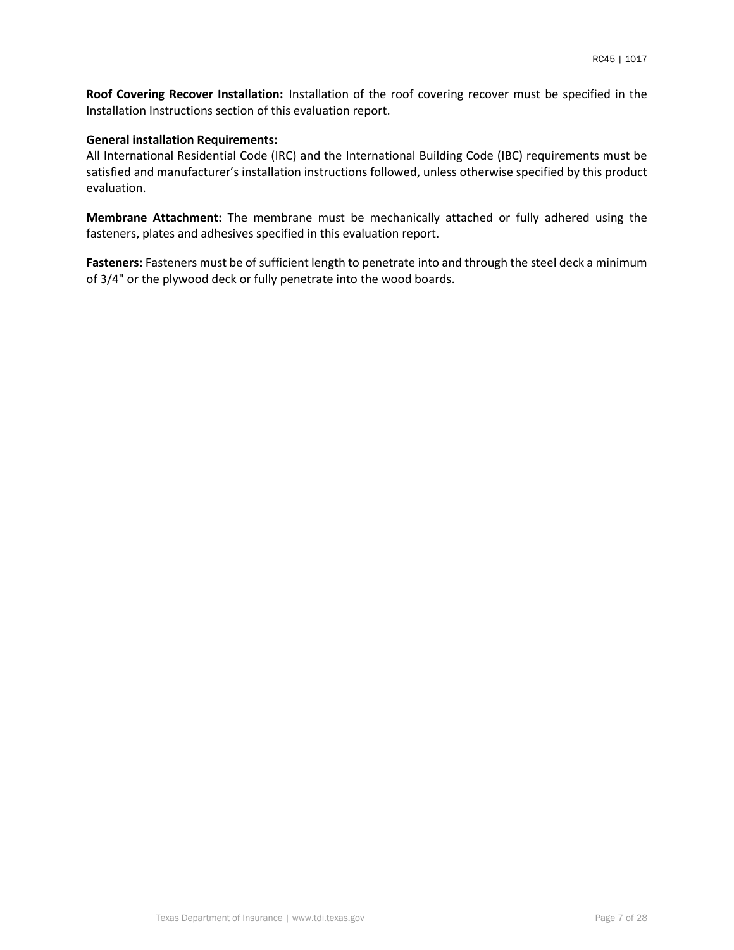**Roof Covering Recover Installation:** Installation of the roof covering recover must be specified in the Installation Instructions section of this evaluation report.

#### **General installation Requirements:**

All International Residential Code (IRC) and the International Building Code (IBC) requirements must be satisfied and manufacturer's installation instructions followed, unless otherwise specified by this product evaluation.

**Membrane Attachment:** The membrane must be mechanically attached or fully adhered using the fasteners, plates and adhesives specified in this evaluation report.

**Fasteners:** Fasteners must be of sufficient length to penetrate into and through the steel deck a minimum of 3/4" or the plywood deck or fully penetrate into the wood boards.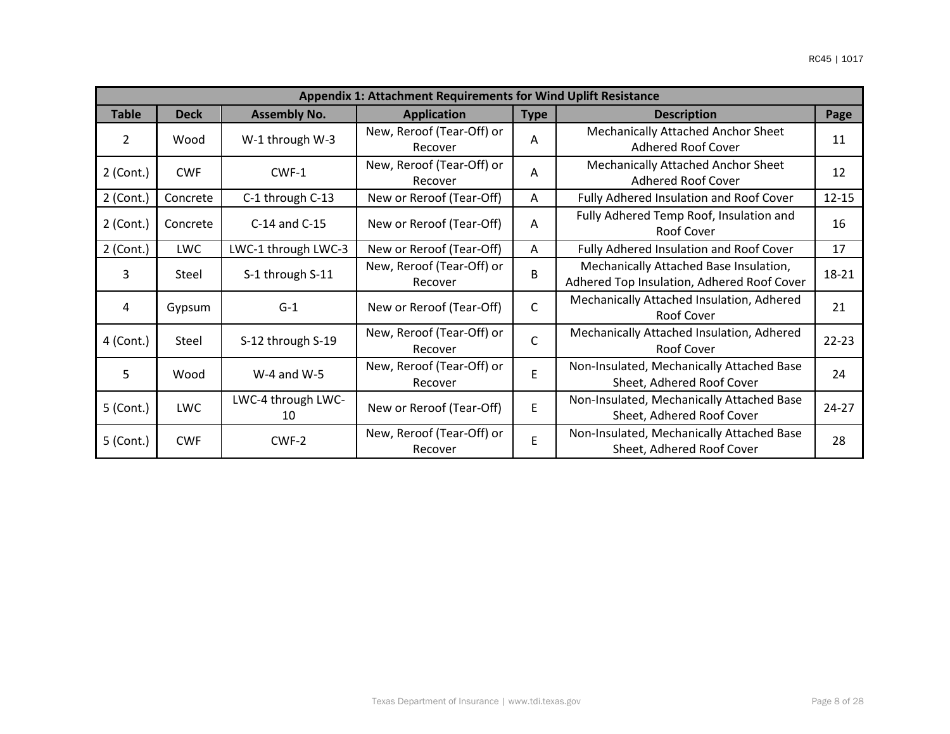|                | Appendix 1: Attachment Requirements for Wind Uplift Resistance |                          |                                      |              |                                                                                      |           |  |  |  |  |  |  |
|----------------|----------------------------------------------------------------|--------------------------|--------------------------------------|--------------|--------------------------------------------------------------------------------------|-----------|--|--|--|--|--|--|
| <b>Table</b>   | <b>Deck</b>                                                    | <b>Assembly No.</b>      | <b>Application</b>                   | <b>Type</b>  | <b>Description</b>                                                                   | Page      |  |  |  |  |  |  |
| $\overline{2}$ | Wood                                                           | W-1 through W-3          | New, Reroof (Tear-Off) or<br>Recover | A            | Mechanically Attached Anchor Sheet<br><b>Adhered Roof Cover</b>                      | 11        |  |  |  |  |  |  |
| $2$ (Cont.)    | <b>CWF</b>                                                     | CWF-1                    | New, Reroof (Tear-Off) or<br>Recover | A            | <b>Mechanically Attached Anchor Sheet</b><br>Adhered Roof Cover                      | 12        |  |  |  |  |  |  |
| $2$ (Cont.)    | Concrete                                                       | C-1 through C-13         | New or Reroof (Tear-Off)             | A            | Fully Adhered Insulation and Roof Cover                                              | $12 - 15$ |  |  |  |  |  |  |
| $2$ (Cont.)    | Concrete                                                       | C-14 and C-15            | New or Reroof (Tear-Off)             | A            | Fully Adhered Temp Roof, Insulation and<br>Roof Cover                                | 16        |  |  |  |  |  |  |
| $2$ (Cont.)    | <b>LWC</b>                                                     | LWC-1 through LWC-3      | New or Reroof (Tear-Off)             | A            | Fully Adhered Insulation and Roof Cover                                              | 17        |  |  |  |  |  |  |
| 3              | Steel                                                          | S-1 through S-11         | New, Reroof (Tear-Off) or<br>Recover | B            | Mechanically Attached Base Insulation,<br>Adhered Top Insulation, Adhered Roof Cover | 18-21     |  |  |  |  |  |  |
| 4              | Gypsum                                                         | $G-1$                    | New or Reroof (Tear-Off)             | $\mathsf{C}$ | Mechanically Attached Insulation, Adhered<br>Roof Cover                              | 21        |  |  |  |  |  |  |
| 4 (Cont.)      | Steel                                                          | S-12 through S-19        | New, Reroof (Tear-Off) or<br>Recover | $\mathsf{C}$ | Mechanically Attached Insulation, Adhered<br>Roof Cover                              | $22 - 23$ |  |  |  |  |  |  |
| 5              | Wood                                                           | $W-4$ and $W-5$          | New, Reroof (Tear-Off) or<br>Recover | E            | Non-Insulated, Mechanically Attached Base<br>Sheet, Adhered Roof Cover               | 24        |  |  |  |  |  |  |
| 5 (Cont.)      | <b>LWC</b>                                                     | LWC-4 through LWC-<br>10 | New or Reroof (Tear-Off)             | F            | Non-Insulated, Mechanically Attached Base<br>Sheet, Adhered Roof Cover               | $24 - 27$ |  |  |  |  |  |  |
| 5 (Cont.)      | <b>CWF</b>                                                     | CWF-2                    | New, Reroof (Tear-Off) or<br>Recover | E            | Non-Insulated, Mechanically Attached Base<br>Sheet, Adhered Roof Cover               | 28        |  |  |  |  |  |  |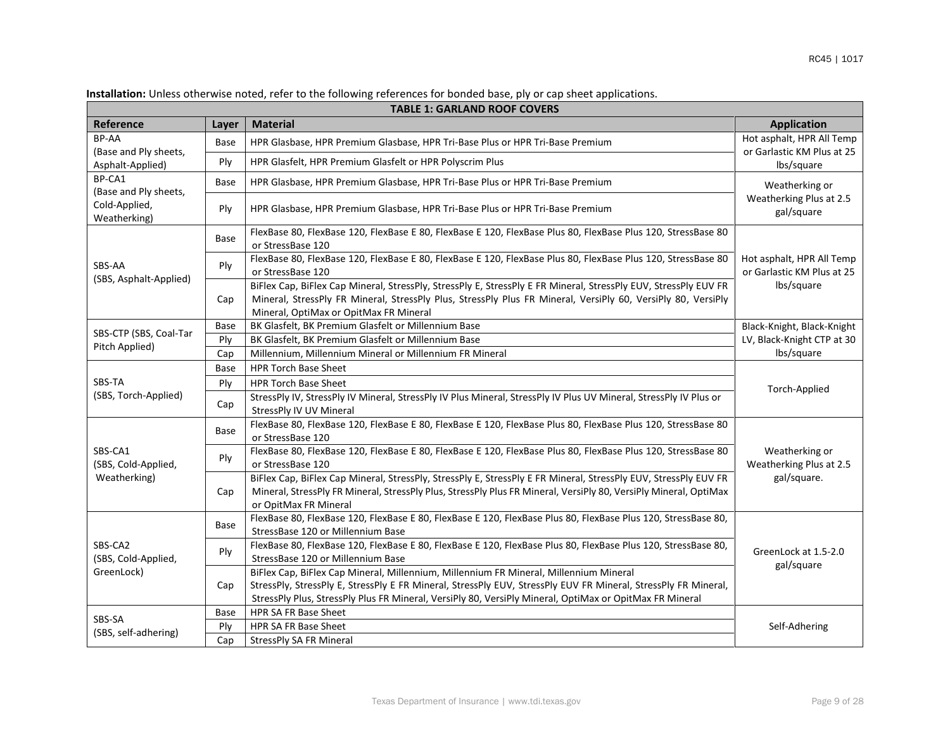|                                 |                                                                                                                                                           | <b>TABLE 1: GARLAND ROOF COVERS</b>                                                                                                                                                                                                                                                                                |                                                         |  |  |
|---------------------------------|-----------------------------------------------------------------------------------------------------------------------------------------------------------|--------------------------------------------------------------------------------------------------------------------------------------------------------------------------------------------------------------------------------------------------------------------------------------------------------------------|---------------------------------------------------------|--|--|
| Reference                       | Layer                                                                                                                                                     | <b>Material</b>                                                                                                                                                                                                                                                                                                    | <b>Application</b>                                      |  |  |
| BP-AA<br>(Base and Ply sheets,  | Base                                                                                                                                                      | HPR Glasbase, HPR Premium Glasbase, HPR Tri-Base Plus or HPR Tri-Base Premium                                                                                                                                                                                                                                      | Hot asphalt, HPR All Temp<br>or Garlastic KM Plus at 25 |  |  |
| Asphalt-Applied)                | Ply                                                                                                                                                       | HPR Glasfelt, HPR Premium Glasfelt or HPR Polyscrim Plus                                                                                                                                                                                                                                                           | lbs/square                                              |  |  |
| BP-CA1<br>(Base and Ply sheets, | Base                                                                                                                                                      | HPR Glasbase, HPR Premium Glasbase, HPR Tri-Base Plus or HPR Tri-Base Premium                                                                                                                                                                                                                                      | Weatherking or                                          |  |  |
| Cold-Applied,<br>Weatherking)   | Ply                                                                                                                                                       | HPR Glasbase, HPR Premium Glasbase, HPR Tri-Base Plus or HPR Tri-Base Premium                                                                                                                                                                                                                                      | Weatherking Plus at 2.5<br>gal/square                   |  |  |
|                                 | Base                                                                                                                                                      | FlexBase 80, FlexBase 120, FlexBase E 80, FlexBase E 120, FlexBase Plus 80, FlexBase Plus 120, StressBase 80<br>or StressBase 120                                                                                                                                                                                  |                                                         |  |  |
| SBS-AA                          | Ply                                                                                                                                                       | FlexBase 80, FlexBase 120, FlexBase E 80, FlexBase E 120, FlexBase Plus 80, FlexBase Plus 120, StressBase 80<br>or StressBase 120                                                                                                                                                                                  | Hot asphalt, HPR All Temp<br>or Garlastic KM Plus at 25 |  |  |
| (SBS, Asphalt-Applied)          | Cap                                                                                                                                                       | BiFlex Cap, BiFlex Cap Mineral, StressPly, StressPly E, StressPly E FR Mineral, StressPly EUV, StressPly EUV FR<br>Mineral, StressPly FR Mineral, StressPly Plus, StressPly Plus FR Mineral, VersiPly 60, VersiPly 80, VersiPly<br>Mineral, OptiMax or OpitMax FR Mineral                                          | lbs/square                                              |  |  |
|                                 | Base                                                                                                                                                      | BK Glasfelt, BK Premium Glasfelt or Millennium Base                                                                                                                                                                                                                                                                | Black-Knight, Black-Knight                              |  |  |
| SBS-CTP (SBS, Coal-Tar          | Ply                                                                                                                                                       | BK Glasfelt, BK Premium Glasfelt or Millennium Base                                                                                                                                                                                                                                                                | LV, Black-Knight CTP at 30                              |  |  |
|                                 | Pitch Applied)<br>Millennium, Millennium Mineral or Millennium FR Mineral<br>Cap                                                                          |                                                                                                                                                                                                                                                                                                                    |                                                         |  |  |
|                                 | Base                                                                                                                                                      | <b>HPR Torch Base Sheet</b>                                                                                                                                                                                                                                                                                        |                                                         |  |  |
| SBS-TA                          | Ply                                                                                                                                                       | <b>HPR Torch Base Sheet</b>                                                                                                                                                                                                                                                                                        | Torch-Applied                                           |  |  |
| (SBS, Torch-Applied)            | Cap                                                                                                                                                       | StressPly IV, StressPly IV Mineral, StressPly IV Plus Mineral, StressPly IV Plus UV Mineral, StressPly IV Plus or<br>StressPly IV UV Mineral                                                                                                                                                                       |                                                         |  |  |
|                                 | Base                                                                                                                                                      | FlexBase 80, FlexBase 120, FlexBase E 80, FlexBase E 120, FlexBase Plus 80, FlexBase Plus 120, StressBase 80<br>or StressBase 120                                                                                                                                                                                  |                                                         |  |  |
| SBS-CA1<br>(SBS, Cold-Applied,  | Ply                                                                                                                                                       | FlexBase 80, FlexBase 120, FlexBase E 80, FlexBase E 120, FlexBase Plus 80, FlexBase Plus 120, StressBase 80<br>or StressBase 120                                                                                                                                                                                  | Weatherking or<br>Weatherking Plus at 2.5               |  |  |
| Weatherking)                    | Cap                                                                                                                                                       | BiFlex Cap, BiFlex Cap Mineral, StressPly, StressPly E, StressPly E FR Mineral, StressPly EUV, StressPly EUV FR<br>Mineral, StressPly FR Mineral, StressPly Plus, StressPly Plus FR Mineral, VersiPly 80, VersiPly Mineral, OptiMax<br>or OpitMax FR Mineral                                                       | gal/square.                                             |  |  |
|                                 | Base                                                                                                                                                      | FlexBase 80, FlexBase 120, FlexBase E 80, FlexBase E 120, FlexBase Plus 80, FlexBase Plus 120, StressBase 80,<br>StressBase 120 or Millennium Base                                                                                                                                                                 |                                                         |  |  |
| SBS-CA2<br>(SBS, Cold-Applied,  | FlexBase 80, FlexBase 120, FlexBase E 80, FlexBase E 120, FlexBase Plus 80, FlexBase Plus 120, StressBase 80,<br>Ply<br>StressBase 120 or Millennium Base |                                                                                                                                                                                                                                                                                                                    | GreenLock at 1.5-2.0<br>gal/square                      |  |  |
| GreenLock)                      | Cap                                                                                                                                                       | BiFlex Cap, BiFlex Cap Mineral, Millennium, Millennium FR Mineral, Millennium Mineral<br>StressPly, StressPly E, StressPly E FR Mineral, StressPly EUV, StressPly EUV FR Mineral, StressPly FR Mineral,<br>StressPly Plus, StressPly Plus FR Mineral, VersiPly 80, VersiPly Mineral, OptiMax or OpitMax FR Mineral |                                                         |  |  |
| SBS-SA                          | Base                                                                                                                                                      | HPR SA FR Base Sheet                                                                                                                                                                                                                                                                                               |                                                         |  |  |
| (SBS, self-adhering)            | Ply                                                                                                                                                       | HPR SA FR Base Sheet                                                                                                                                                                                                                                                                                               | Self-Adhering                                           |  |  |
|                                 | Cap                                                                                                                                                       | StressPly SA FR Mineral                                                                                                                                                                                                                                                                                            |                                                         |  |  |

**Installation:** Unless otherwise noted, refer to the following references for bonded base, ply or cap sheet applications.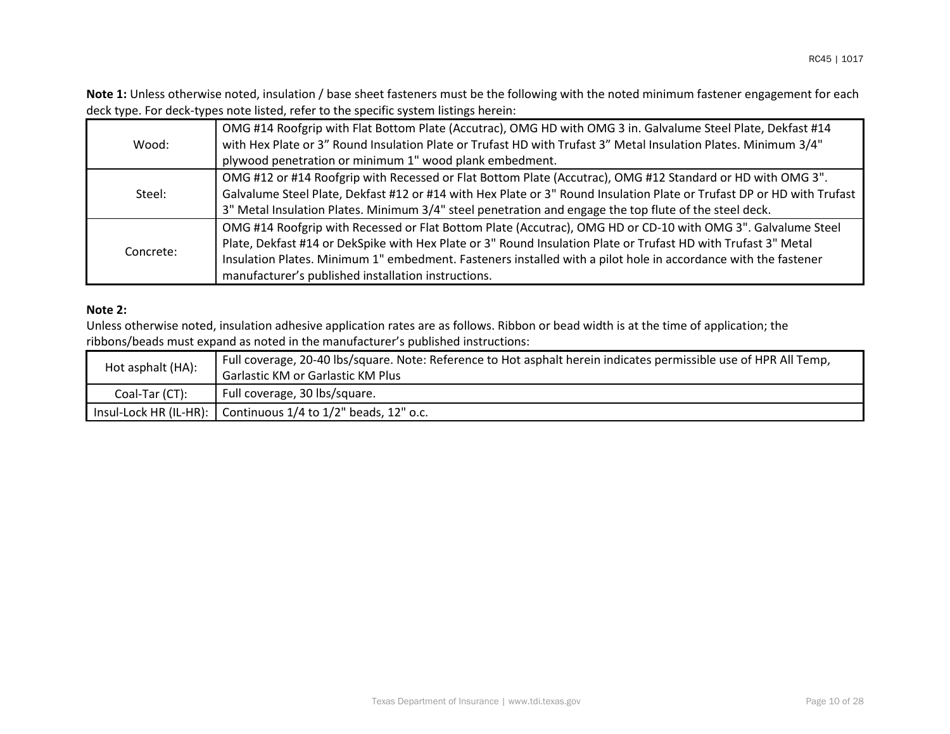**Note 1:** Unless otherwise noted, insulation / base sheet fasteners must be the following with the noted minimum fastener engagement for each deck type. For deck-types note listed, refer to the specific system listings herein:

| Wood:     | OMG #14 Roofgrip with Flat Bottom Plate (Accutrac), OMG HD with OMG 3 in. Galvalume Steel Plate, Dekfast #14<br>with Hex Plate or 3" Round Insulation Plate or Trufast HD with Trufast 3" Metal Insulation Plates. Minimum 3/4"<br>plywood penetration or minimum 1" wood plank embedment. |
|-----------|--------------------------------------------------------------------------------------------------------------------------------------------------------------------------------------------------------------------------------------------------------------------------------------------|
|           | OMG #12 or #14 Roofgrip with Recessed or Flat Bottom Plate (Accutrac), OMG #12 Standard or HD with OMG 3".                                                                                                                                                                                 |
| Steel:    | Galvalume Steel Plate, Dekfast #12 or #14 with Hex Plate or 3" Round Insulation Plate or Trufast DP or HD with Trufast                                                                                                                                                                     |
|           | 3" Metal Insulation Plates. Minimum 3/4" steel penetration and engage the top flute of the steel deck.                                                                                                                                                                                     |
|           | OMG #14 Roofgrip with Recessed or Flat Bottom Plate (Accutrac), OMG HD or CD-10 with OMG 3". Galvalume Steel                                                                                                                                                                               |
| Concrete: | Plate, Dekfast #14 or DekSpike with Hex Plate or 3" Round Insulation Plate or Trufast HD with Trufast 3" Metal                                                                                                                                                                             |
|           | Insulation Plates. Minimum 1" embedment. Fasteners installed with a pilot hole in accordance with the fastener                                                                                                                                                                             |
|           | manufacturer's published installation instructions.                                                                                                                                                                                                                                        |

## **Note 2:**

Unless otherwise noted, insulation adhesive application rates are as follows. Ribbon or bead width is at the time of application; the ribbons/beads must expand as noted in the manufacturer's published instructions:

| Hot asphalt (HA): | Full coverage, 20-40 lbs/square. Note: Reference to Hot asphalt herein indicates permissible use of HPR All Temp, |
|-------------------|-------------------------------------------------------------------------------------------------------------------|
|                   | <b>Garlastic KM or Garlastic KM Plus</b>                                                                          |
| Coal-Tar (CT):    | Full coverage, 30 lbs/square.                                                                                     |
|                   | Insul-Lock HR (IL-HR): Continuous 1/4 to 1/2" beads, 12" o.c.                                                     |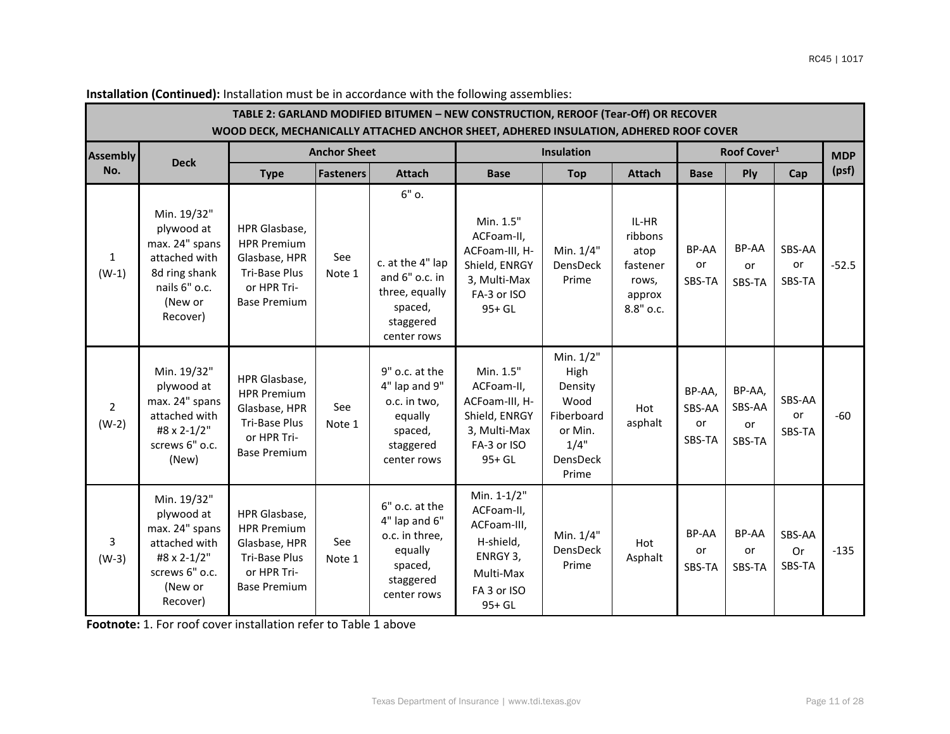|                           |                                                                                                                       |                                                                                                             |                     |                                                                                                        | TABLE 2: GARLAND MODIFIED BITUMEN - NEW CONSTRUCTION, REROOF (Tear-Off) OR RECOVER<br>WOOD DECK, MECHANICALLY ATTACHED ANCHOR SHEET, ADHERED INSULATION, ADHERED ROOF COVER |                                                                                            |                                                                      |                                  |                                  |                               |            |
|---------------------------|-----------------------------------------------------------------------------------------------------------------------|-------------------------------------------------------------------------------------------------------------|---------------------|--------------------------------------------------------------------------------------------------------|-----------------------------------------------------------------------------------------------------------------------------------------------------------------------------|--------------------------------------------------------------------------------------------|----------------------------------------------------------------------|----------------------------------|----------------------------------|-------------------------------|------------|
| <b>Assembly</b>           | <b>Deck</b>                                                                                                           |                                                                                                             | <b>Anchor Sheet</b> |                                                                                                        | Insulation                                                                                                                                                                  |                                                                                            |                                                                      | Roof Cover <sup>1</sup>          |                                  |                               | <b>MDP</b> |
| No.                       |                                                                                                                       | <b>Type</b>                                                                                                 | <b>Fasteners</b>    | <b>Attach</b>                                                                                          | <b>Base</b>                                                                                                                                                                 | <b>Top</b>                                                                                 | <b>Attach</b>                                                        | <b>Base</b>                      | Ply                              | Cap                           | (psf)      |
| $\mathbf{1}$<br>$(W-1)$   | Min. 19/32"<br>plywood at<br>max. 24" spans<br>attached with<br>8d ring shank<br>nails 6" o.c.<br>(New or<br>Recover) | HPR Glasbase,<br><b>HPR Premium</b><br>Glasbase, HPR<br>Tri-Base Plus<br>or HPR Tri-<br><b>Base Premium</b> | See<br>Note 1       | $6"$ o.<br>c. at the 4" lap<br>and 6" o.c. in<br>three, equally<br>spaced,<br>staggered<br>center rows | Min. 1.5"<br>ACFoam-II,<br>ACFoam-III, H-<br>Shield, ENRGY<br>3, Multi-Max<br>FA-3 or ISO<br>95+ GL                                                                         | Min. 1/4"<br>DensDeck<br>Prime                                                             | IL-HR<br>ribbons<br>atop<br>fastener<br>rows,<br>approx<br>8.8" o.c. | BP-AA<br>or<br>SBS-TA            | BP-AA<br>or<br>SBS-TA            | SBS-AA<br><b>or</b><br>SBS-TA | $-52.5$    |
| $\overline{2}$<br>$(W-2)$ | Min. 19/32"<br>plywood at<br>max. 24" spans<br>attached with<br>#8 x 2-1/2"<br>screws 6" o.c.<br>(New)                | HPR Glasbase,<br><b>HPR Premium</b><br>Glasbase, HPR<br>Tri-Base Plus<br>or HPR Tri-<br><b>Base Premium</b> | See<br>Note 1       | 9" o.c. at the<br>4" lap and 9"<br>o.c. in two,<br>equally<br>spaced,<br>staggered<br>center rows      | Min. 1.5"<br>ACFoam-II,<br>ACFoam-III, H-<br>Shield, ENRGY<br>3, Multi-Max<br>FA-3 or ISO<br>95+ GL                                                                         | Min. 1/2"<br>High<br>Density<br>Wood<br>Fiberboard<br>or Min.<br>1/4"<br>DensDeck<br>Prime | Hot<br>asphalt                                                       | BP-AA,<br>SBS-AA<br>or<br>SBS-TA | BP-AA,<br>SBS-AA<br>or<br>SBS-TA | SBS-AA<br><b>or</b><br>SBS-TA | $-60$      |
| 3<br>$(W-3)$              | Min. 19/32"<br>plywood at<br>max. 24" spans<br>attached with<br>#8 x 2-1/2"<br>screws 6" o.c.<br>(New or<br>Recover)  | HPR Glasbase,<br><b>HPR Premium</b><br>Glasbase, HPR<br>Tri-Base Plus<br>or HPR Tri-<br><b>Base Premium</b> | See<br>Note 1       | 6" o.c. at the<br>4" lap and 6"<br>o.c. in three,<br>equally<br>spaced,<br>staggered<br>center rows    | Min. 1-1/2"<br>ACFoam-II,<br>ACFoam-III,<br>H-shield,<br>ENRGY 3,<br>Multi-Max<br>FA 3 or ISO<br>95+ GL                                                                     | Min. 1/4"<br>DensDeck<br>Prime                                                             | Hot<br>Asphalt                                                       | BP-AA<br>or<br>SBS-TA            | BP-AA<br>or<br>SBS-TA            | SBS-AA<br>Or<br>SBS-TA        | $-135$     |

**Installation (Continued):** Installation must be in accordance with the following assemblies: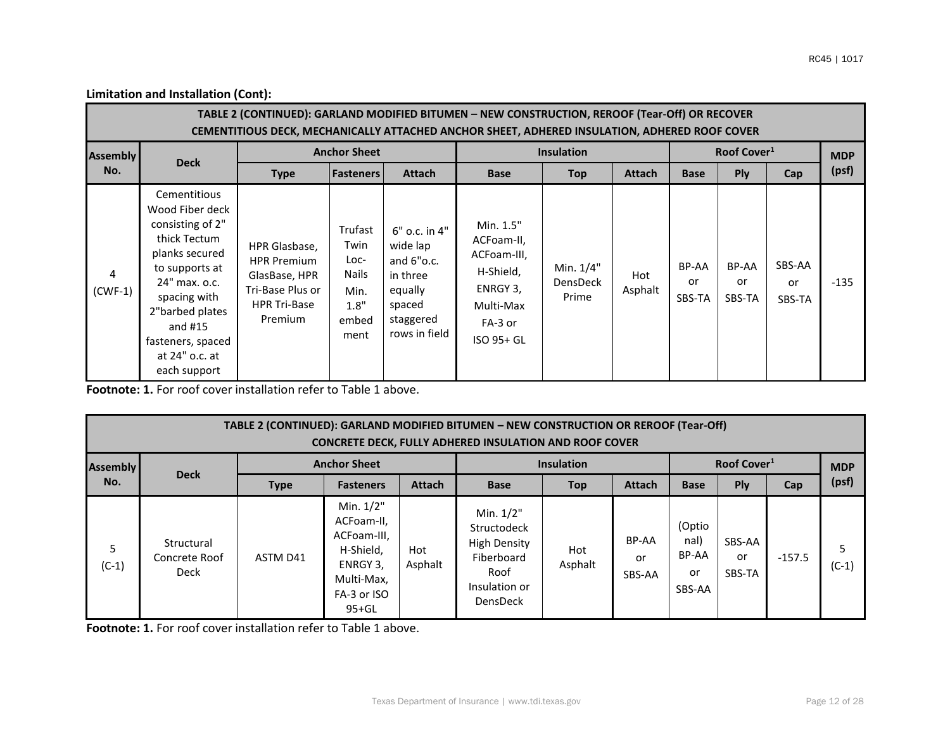|                             |                                                                                                                                                                                                                                 | TABLE 2 (CONTINUED): GARLAND MODIFIED BITUMEN - NEW CONSTRUCTION, REROOF (Tear-Off) OR RECOVER<br>CEMENTITIOUS DECK, MECHANICALLY ATTACHED ANCHOR SHEET, ADHERED INSULATION, ADHERED ROOF COVER |                                                                   |                                                                                                          |                                                                                                       |                                       |                |                       |                         |                        |            |
|-----------------------------|---------------------------------------------------------------------------------------------------------------------------------------------------------------------------------------------------------------------------------|-------------------------------------------------------------------------------------------------------------------------------------------------------------------------------------------------|-------------------------------------------------------------------|----------------------------------------------------------------------------------------------------------|-------------------------------------------------------------------------------------------------------|---------------------------------------|----------------|-----------------------|-------------------------|------------------------|------------|
| <b>Assembly</b>             | <b>Deck</b>                                                                                                                                                                                                                     | <b>Anchor Sheet</b>                                                                                                                                                                             |                                                                   |                                                                                                          |                                                                                                       | <b>Insulation</b>                     |                |                       | Roof Cover <sup>1</sup> |                        | <b>MDP</b> |
| No.                         |                                                                                                                                                                                                                                 | <b>Type</b>                                                                                                                                                                                     | <b>Fasteners</b>                                                  | <b>Attach</b>                                                                                            | <b>Base</b>                                                                                           | Top                                   | <b>Attach</b>  | <b>Base</b>           | <b>Ply</b>              | Cap                    | (psf)      |
| $\overline{4}$<br>$(CWF-1)$ | Cementitious<br>Wood Fiber deck<br>consisting of 2"<br>thick Tectum<br>planks secured<br>to supports at<br>24" max. o.c.<br>spacing with<br>2"barbed plates<br>and $#15$<br>fasteners, spaced<br>at 24" o.c. at<br>each support | HPR Glasbase,<br><b>HPR Premium</b><br>GlasBase, HPR<br>Tri-Base Plus or<br><b>HPR Tri-Base</b><br>Premium                                                                                      | Trufast<br>Twin<br>Loc-<br>Nails<br>Min.<br>1.8"<br>embed<br>ment | 6" o.c. in 4"<br>wide lap<br>and $6"o.c.$<br>in three<br>equally<br>spaced<br>staggered<br>rows in field | Min. 1.5"<br>ACFoam-II,<br>ACFoam-III,<br>H-Shield,<br>ENRGY 3,<br>Multi-Max<br>FA-3 or<br>ISO 95+ GL | Min. 1/4"<br><b>DensDeck</b><br>Prime | Hot<br>Asphalt | BP-AA<br>or<br>SBS-TA | BP-AA<br>or<br>SBS-TA   | SBS-AA<br>or<br>SBS-TA | $-135$     |

**Footnote: 1.** For roof cover installation refer to Table 1 above.

|                 |                                     |             |                                                                                                           |                | TABLE 2 (CONTINUED): GARLAND MODIFIED BITUMEN - NEW CONSTRUCTION OR REROOF (Tear-Off)<br><b>CONCRETE DECK, FULLY ADHERED INSULATION AND ROOF COVER</b> |                   |                       |                                         |                         |          |              |
|-----------------|-------------------------------------|-------------|-----------------------------------------------------------------------------------------------------------|----------------|--------------------------------------------------------------------------------------------------------------------------------------------------------|-------------------|-----------------------|-----------------------------------------|-------------------------|----------|--------------|
| <b>Assembly</b> |                                     |             | <b>Anchor Sheet</b>                                                                                       |                |                                                                                                                                                        | <b>Insulation</b> |                       |                                         | Roof Cover <sup>1</sup> |          | <b>MDP</b>   |
| No.             | <b>Deck</b>                         | <b>Type</b> | <b>Fasteners</b>                                                                                          | <b>Attach</b>  | <b>Base</b>                                                                                                                                            | Top               | <b>Attach</b>         | <b>Base</b>                             | <b>Ply</b>              | Cap      | (psf)        |
| 5<br>(C-1)      | Structural<br>Concrete Roof<br>Deck | ASTM D41    | Min. 1/2"<br>ACFoam-II,<br>ACFoam-III,<br>H-Shield,<br>ENRGY 3.<br>Multi-Max,<br>FA-3 or ISO<br>$95 + GL$ | Hot<br>Asphalt | Min. 1/2"<br><b>Structodeck</b><br><b>High Density</b><br>Fiberboard<br>Roof<br>Insulation or<br><b>DensDeck</b>                                       | Hot<br>Asphalt    | BP-AA<br>or<br>SBS-AA | (Optio<br>nal)<br>BP-AA<br>or<br>SBS-AA | SBS-AA<br>or<br>SBS-TA  | $-157.5$ | 5<br>$(C-1)$ |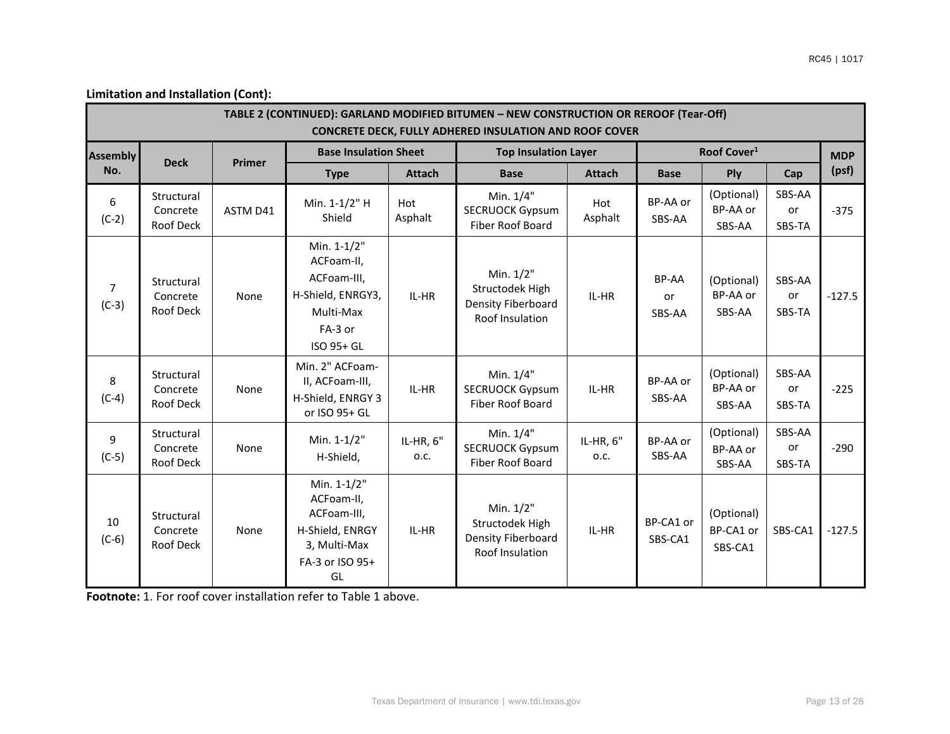|                           |                                            |               |                                                                                                      |                   | TABLE 2 (CONTINUED): GARLAND MODIFIED BITUMEN - NEW CONSTRUCTION OR REROOF (Tear-Off)<br><b>CONCRETE DECK, FULLY ADHERED INSULATION AND ROOF COVER</b> |                   |                              |                                    |                        |          |
|---------------------------|--------------------------------------------|---------------|------------------------------------------------------------------------------------------------------|-------------------|--------------------------------------------------------------------------------------------------------------------------------------------------------|-------------------|------------------------------|------------------------------------|------------------------|----------|
| <b>Assembly</b>           |                                            |               | <b>Base Insulation Sheet</b>                                                                         |                   | <b>Top Insulation Layer</b>                                                                                                                            |                   | Roof Cover <sup>1</sup>      |                                    | <b>MDP</b>             |          |
| No.                       | <b>Deck</b>                                | <b>Primer</b> | <b>Type</b>                                                                                          | <b>Attach</b>     | <b>Base</b>                                                                                                                                            | <b>Attach</b>     | <b>Base</b>                  | Ply                                | Cap                    | (psf)    |
| 6<br>$(C-2)$              | Structural<br>Concrete<br>Roof Deck        | ASTM D41      | Min. 1-1/2" H<br>Shield                                                                              | Hot<br>Asphalt    | Min. 1/4"<br><b>SECRUOCK Gypsum</b><br>Fiber Roof Board                                                                                                | Hot<br>Asphalt    | BP-AA or<br>SBS-AA           | (Optional)<br>BP-AA or<br>SBS-AA   | SBS-AA<br>or<br>SBS-TA | $-375$   |
| $\overline{7}$<br>$(C-3)$ | Structural<br>Concrete<br>Roof Deck        | None          | Min. 1-1/2"<br>ACFoam-II,<br>ACFoam-III,<br>H-Shield, ENRGY3,<br>Multi-Max<br>FA-3 or<br>ISO 95+ GL  | IL-HR             | Min. 1/2"<br>Structodek High<br>Density Fiberboard<br>Roof Insulation                                                                                  | IL-HR             | BP-AA<br><b>or</b><br>SBS-AA | (Optional)<br>BP-AA or<br>SBS-AA   | SBS-AA<br>or<br>SBS-TA | $-127.5$ |
| 8<br>$(C-4)$              | Structural<br>Concrete<br>Roof Deck        | None          | Min. 2" ACFoam-<br>II, ACFoam-III,<br>H-Shield, ENRGY 3<br>or ISO 95+ GL                             | IL-HR             | Min. 1/4"<br><b>SECRUOCK Gypsum</b><br>Fiber Roof Board                                                                                                | IL-HR             | BP-AA or<br>SBS-AA           | (Optional)<br>BP-AA or<br>SBS-AA   | SBS-AA<br>or<br>SBS-TA | $-225$   |
| 9<br>$(C-5)$              | Structural<br>Concrete<br><b>Roof Deck</b> | None          | Min. 1-1/2"<br>H-Shield,                                                                             | IL-HR, 6"<br>O.C. | Min. 1/4"<br><b>SECRUOCK Gypsum</b><br>Fiber Roof Board                                                                                                | IL-HR, 6"<br>o.c. | BP-AA or<br>SBS-AA           | (Optional)<br>BP-AA or<br>SBS-AA   | SBS-AA<br>or<br>SBS-TA | $-290$   |
| 10<br>$(C-6)$             | Structural<br>Concrete<br>Roof Deck        | None          | Min. 1-1/2"<br>ACFoam-II,<br>ACFoam-III,<br>H-Shield, ENRGY<br>3, Multi-Max<br>FA-3 or ISO 95+<br>GL | IL-HR             | Min. 1/2"<br>Structodek High<br>Density Fiberboard<br>Roof Insulation                                                                                  | IL-HR             | BP-CA1 or<br>SBS-CA1         | (Optional)<br>BP-CA1 or<br>SBS-CA1 | SBS-CA1                | $-127.5$ |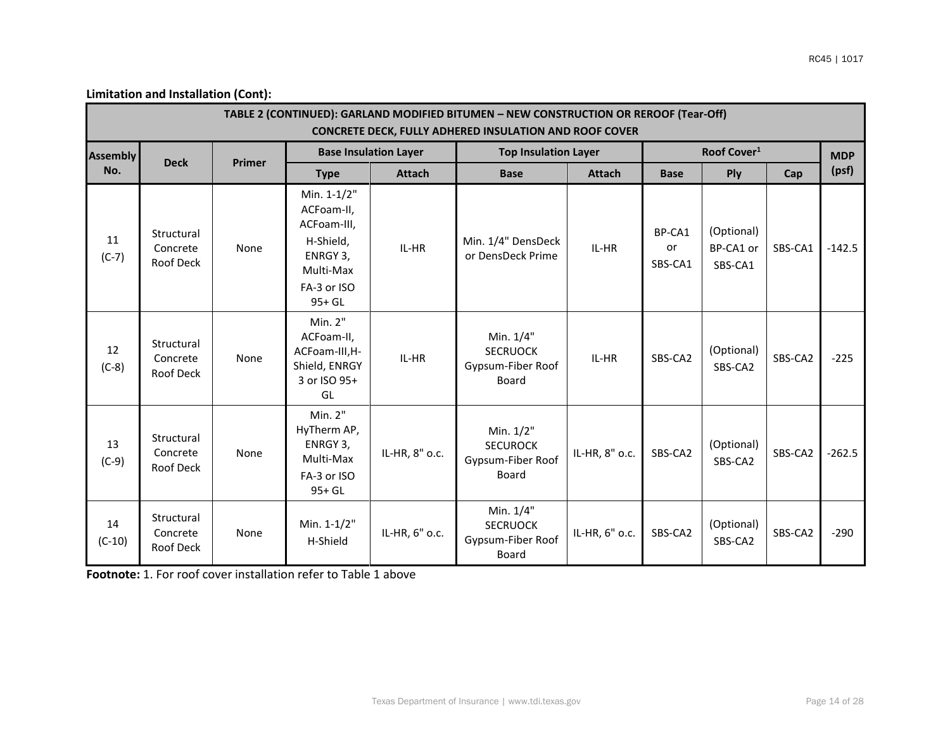|                 |                                            |               |                                                                                                         |                | TABLE 2 (CONTINUED): GARLAND MODIFIED BITUMEN - NEW CONSTRUCTION OR REROOF (Tear-Off)<br><b>CONCRETE DECK, FULLY ADHERED INSULATION AND ROOF COVER</b> |                         |                         |                                    |         |          |
|-----------------|--------------------------------------------|---------------|---------------------------------------------------------------------------------------------------------|----------------|--------------------------------------------------------------------------------------------------------------------------------------------------------|-------------------------|-------------------------|------------------------------------|---------|----------|
| <b>Assembly</b> | <b>Deck</b>                                | <b>Primer</b> | <b>Base Insulation Layer</b>                                                                            |                | <b>Top Insulation Layer</b>                                                                                                                            | Roof Cover <sup>1</sup> | <b>MDP</b>              |                                    |         |          |
| No.             |                                            |               | <b>Type</b>                                                                                             | <b>Attach</b>  | <b>Base</b>                                                                                                                                            | <b>Attach</b>           | <b>Base</b>             | <b>Ply</b>                         | Cap     | (psf)    |
| 11<br>$(C-7)$   | Structural<br>Concrete<br>Roof Deck        | None          | Min. 1-1/2"<br>ACFoam-II,<br>ACFoam-III,<br>H-Shield,<br>ENRGY 3,<br>Multi-Max<br>FA-3 or ISO<br>95+ GL | IL-HR          | Min. 1/4" DensDeck<br>or DensDeck Prime                                                                                                                | IL-HR                   | BP-CA1<br>or<br>SBS-CA1 | (Optional)<br>BP-CA1 or<br>SBS-CA1 | SBS-CA1 | $-142.5$ |
| 12<br>$(C-8)$   | Structural<br>Concrete<br><b>Roof Deck</b> | None          | Min. 2"<br>ACFoam-II,<br>ACFoam-III, H-<br>Shield, ENRGY<br>3 or ISO 95+<br>GL                          | IL-HR          | Min. 1/4"<br><b>SECRUOCK</b><br>Gypsum-Fiber Roof<br><b>Board</b>                                                                                      | IL-HR                   | SBS-CA2                 | (Optional)<br>SBS-CA2              | SBS-CA2 | $-225$   |
| 13<br>$(C-9)$   | Structural<br>Concrete<br>Roof Deck        | None          | Min. 2"<br>HyTherm AP,<br>ENRGY 3,<br>Multi-Max<br>FA-3 or ISO<br>$95+GL$                               | IL-HR, 8" o.c. | Min. 1/2"<br><b>SECUROCK</b><br>Gypsum-Fiber Roof<br>Board                                                                                             | IL-HR, 8" o.c.          | SBS-CA2                 | (Optional)<br>SBS-CA2              | SBS-CA2 | $-262.5$ |
| 14<br>$(C-10)$  | Structural<br>Concrete<br>Roof Deck        | None          | Min. 1-1/2"<br>H-Shield                                                                                 | IL-HR, 6" o.c. | Min. 1/4"<br><b>SECRUOCK</b><br>Gypsum-Fiber Roof<br>Board                                                                                             | IL-HR, 6" o.c.          | SBS-CA2                 | (Optional)<br>SBS-CA2              | SBS-CA2 | $-290$   |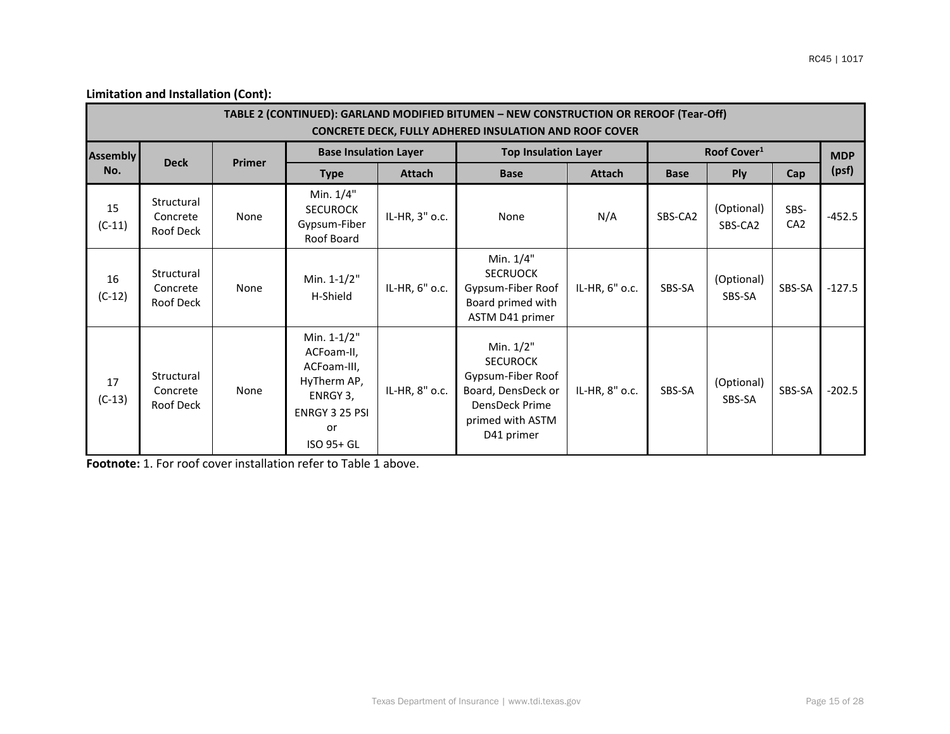|                 |                                     |               |                                                                                                           |                | TABLE 2 (CONTINUED): GARLAND MODIFIED BITUMEN - NEW CONSTRUCTION OR REROOF (Tear-Off)<br><b>CONCRETE DECK, FULLY ADHERED INSULATION AND ROOF COVER</b> |                |                         |                       |                         |          |
|-----------------|-------------------------------------|---------------|-----------------------------------------------------------------------------------------------------------|----------------|--------------------------------------------------------------------------------------------------------------------------------------------------------|----------------|-------------------------|-----------------------|-------------------------|----------|
| <b>Assembly</b> | <b>Deck</b>                         | <b>Primer</b> | <b>Base Insulation Layer</b>                                                                              |                | <b>Top Insulation Layer</b>                                                                                                                            |                | Roof Cover <sup>1</sup> |                       | <b>MDP</b>              |          |
| No.             |                                     |               | <b>Attach</b><br><b>Type</b>                                                                              |                | Attach<br><b>Base</b>                                                                                                                                  |                | <b>Base</b>             | Ply                   | Cap                     | (psf)    |
| 15<br>$(C-11)$  | Structural<br>Concrete<br>Roof Deck | None          | Min. 1/4"<br><b>SECUROCK</b><br>Gypsum-Fiber<br>Roof Board                                                | IL-HR, 3" o.c. | None                                                                                                                                                   | N/A            | SBS-CA2                 | (Optional)<br>SBS-CA2 | SBS-<br>CA <sub>2</sub> | $-452.5$ |
| 16<br>$(C-12)$  | Structural<br>Concrete<br>Roof Deck | None          | Min. 1-1/2"<br>H-Shield                                                                                   | IL-HR, 6" o.c. | Min. 1/4"<br><b>SECRUOCK</b><br>Gypsum-Fiber Roof<br>Board primed with<br>ASTM D41 primer                                                              | IL-HR, 6" o.c. | SBS-SA                  | (Optional)<br>SBS-SA  | SBS-SA                  | $-127.5$ |
| 17<br>$(C-13)$  | Structural<br>Concrete<br>Roof Deck | None          | Min. 1-1/2"<br>ACFoam-II,<br>ACFoam-III,<br>HyTherm AP,<br>ENRGY 3,<br>ENRGY 3 25 PSI<br>or<br>ISO 95+ GL | IL-HR, 8" o.c. | Min. 1/2"<br><b>SECUROCK</b><br>Gypsum-Fiber Roof<br>Board, DensDeck or<br>DensDeck Prime<br>primed with ASTM<br>D41 primer                            | IL-HR, 8" o.c. | SBS-SA                  | (Optional)<br>SBS-SA  | SBS-SA                  | $-202.5$ |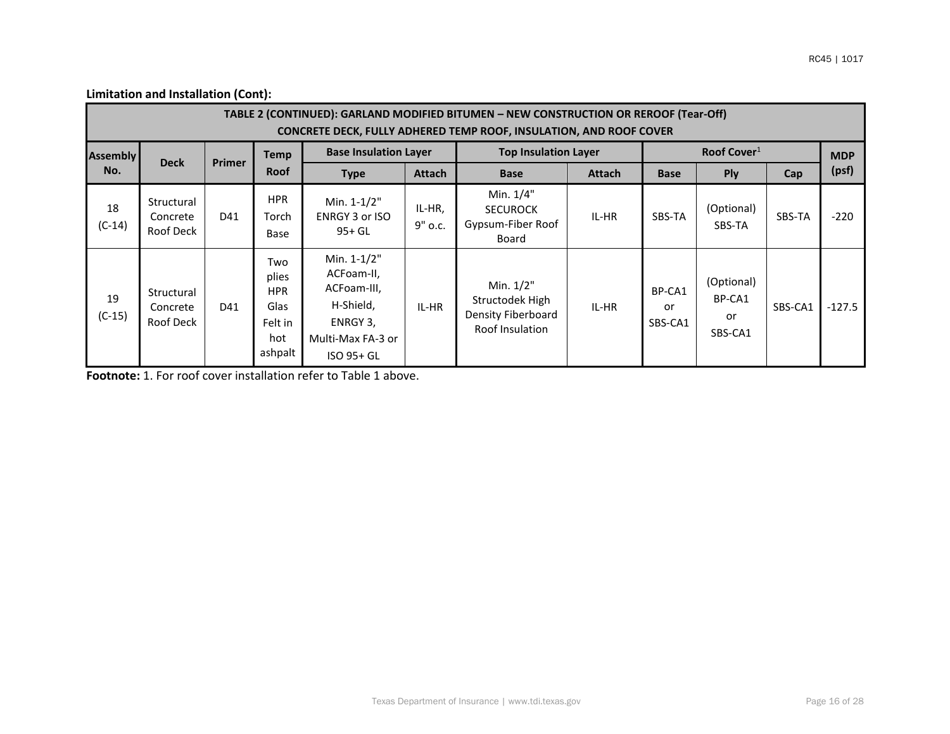| TABLE 2 (CONTINUED): GARLAND MODIFIED BITUMEN - NEW CONSTRUCTION OR REROOF (Tear-Off)<br><b>CONCRETE DECK, FULLY ADHERED TEMP ROOF, INSULATION, AND ROOF COVER</b> |                                     |               |                                                                 |                                                                                                      |                   |                                                                       |               |                         |                                       |         |          |  |  |
|--------------------------------------------------------------------------------------------------------------------------------------------------------------------|-------------------------------------|---------------|-----------------------------------------------------------------|------------------------------------------------------------------------------------------------------|-------------------|-----------------------------------------------------------------------|---------------|-------------------------|---------------------------------------|---------|----------|--|--|
| <b>Assembly</b>                                                                                                                                                    | <b>Deck</b>                         | <b>Primer</b> | <b>Temp</b>                                                     | <b>Base Insulation Layer</b>                                                                         |                   | <b>Top Insulation Layer</b>                                           |               |                         | Roof Cover <sup>1</sup>               |         |          |  |  |
| No.                                                                                                                                                                |                                     |               | <b>Roof</b>                                                     | <b>Type</b>                                                                                          | Attach            | <b>Base</b>                                                           | <b>Attach</b> | <b>Base</b>             | <b>Ply</b>                            | Cap     | (psf)    |  |  |
| 18<br>$(C-14)$                                                                                                                                                     | Structural<br>Concrete<br>Roof Deck | D41           | <b>HPR</b><br>Torch<br>Base                                     | Min. 1-1/2"<br>ENRGY 3 or ISO<br>$95+GL$                                                             | IL-HR,<br>9" o.c. | Min. 1/4"<br><b>SECUROCK</b><br>Gypsum-Fiber Roof<br>Board            | IL-HR         | SBS-TA                  | (Optional)<br>SBS-TA                  | SBS-TA  | $-220$   |  |  |
| 19<br>$(C-15)$                                                                                                                                                     | Structural<br>Concrete<br>Roof Deck | D41           | Two<br>plies<br><b>HPR</b><br>Glas<br>Felt in<br>hot<br>ashpalt | Min. 1-1/2"<br>ACFoam-II,<br>ACFoam-III,<br>H-Shield,<br>ENRGY 3,<br>Multi-Max FA-3 or<br>ISO 95+ GL | IL-HR             | Min. 1/2"<br>Structodek High<br>Density Fiberboard<br>Roof Insulation | IL-HR         | BP-CA1<br>or<br>SBS-CA1 | (Optional)<br>BP-CA1<br>or<br>SBS-CA1 | SBS-CA1 | $-127.5$ |  |  |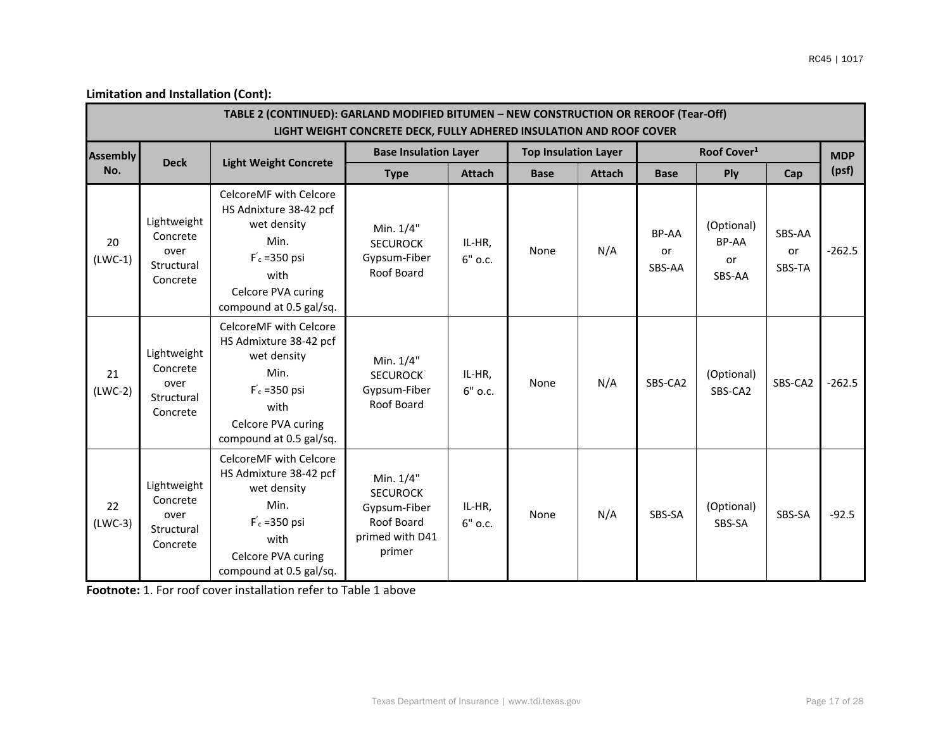|                 | TABLE 2 (CONTINUED): GARLAND MODIFIED BITUMEN - NEW CONSTRUCTION OR REROOF (Tear-Off)<br>LIGHT WEIGHT CONCRETE DECK, FULLY ADHERED INSULATION AND ROOF COVER |                                                                                                                                                     |                                                                                         |                   |                             |               |                       |                                     |                        |            |  |  |
|-----------------|--------------------------------------------------------------------------------------------------------------------------------------------------------------|-----------------------------------------------------------------------------------------------------------------------------------------------------|-----------------------------------------------------------------------------------------|-------------------|-----------------------------|---------------|-----------------------|-------------------------------------|------------------------|------------|--|--|
| <b>Assembly</b> |                                                                                                                                                              |                                                                                                                                                     | <b>Base Insulation Layer</b>                                                            |                   | <b>Top Insulation Layer</b> |               |                       | Roof Cover <sup>1</sup>             |                        | <b>MDP</b> |  |  |
| No.             | <b>Deck</b>                                                                                                                                                  | <b>Light Weight Concrete</b>                                                                                                                        | <b>Type</b>                                                                             | <b>Attach</b>     | <b>Base</b>                 | <b>Attach</b> | <b>Base</b>           | Ply                                 | Cap                    | (psf)      |  |  |
| 20<br>$(LWC-1)$ | Lightweight<br>Concrete<br>over<br>Structural<br>Concrete                                                                                                    | CelcoreMF with Celcore<br>HS Adnixture 38-42 pcf<br>wet density<br>Min.<br>$F_c = 350$ psi<br>with<br>Celcore PVA curing<br>compound at 0.5 gal/sq. | Min. 1/4"<br><b>SECUROCK</b><br>Gypsum-Fiber<br>Roof Board                              | IL-HR,<br>6" o.c. | None                        | N/A           | BP-AA<br>or<br>SBS-AA | (Optional)<br>BP-AA<br>or<br>SBS-AA | SBS-AA<br>or<br>SBS-TA | $-262.5$   |  |  |
| 21<br>$(LWC-2)$ | Lightweight<br>Concrete<br>over<br>Structural<br>Concrete                                                                                                    | CelcoreMF with Celcore<br>HS Admixture 38-42 pcf<br>wet density<br>Min.<br>$F_c = 350$ psi<br>with<br>Celcore PVA curing<br>compound at 0.5 gal/sq. | Min. 1/4"<br><b>SECUROCK</b><br>Gypsum-Fiber<br>Roof Board                              | IL-HR,<br>6" o.c. | None                        | N/A           | SBS-CA2               | (Optional)<br>SBS-CA2               | SBS-CA2                | $-262.5$   |  |  |
| 22<br>$(LWC-3)$ | Lightweight<br>Concrete<br>over<br>Structural<br>Concrete                                                                                                    | CelcoreMF with Celcore<br>HS Admixture 38-42 pcf<br>wet density<br>Min.<br>$F_c = 350$ psi<br>with<br>Celcore PVA curing<br>compound at 0.5 gal/sq. | Min. 1/4"<br><b>SECUROCK</b><br>Gypsum-Fiber<br>Roof Board<br>primed with D41<br>primer | IL-HR,<br>6" o.c. | None                        | N/A           | SBS-SA                | (Optional)<br>SBS-SA                | SBS-SA                 | $-92.5$    |  |  |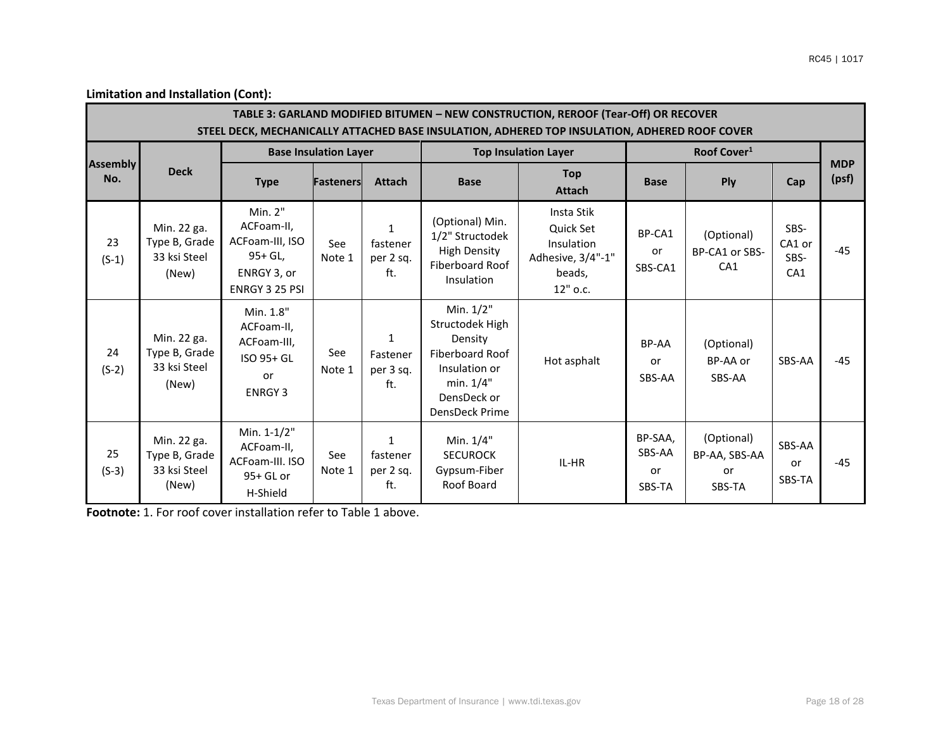| TABLE 3: GARLAND MODIFIED BITUMEN - NEW CONSTRUCTION, REROOF (Tear-Off) OR RECOVER<br>STEEL DECK, MECHANICALLY ATTACHED BASE INSULATION, ADHERED TOP INSULATION, ADHERED ROOF COVER |                                                       |                                                                                         |                              |                                              |                                                                                                                           |                                                                                  |                                   |                                                 |                               |                     |  |  |
|-------------------------------------------------------------------------------------------------------------------------------------------------------------------------------------|-------------------------------------------------------|-----------------------------------------------------------------------------------------|------------------------------|----------------------------------------------|---------------------------------------------------------------------------------------------------------------------------|----------------------------------------------------------------------------------|-----------------------------------|-------------------------------------------------|-------------------------------|---------------------|--|--|
|                                                                                                                                                                                     |                                                       |                                                                                         | <b>Base Insulation Layer</b> |                                              |                                                                                                                           | <b>Top Insulation Layer</b>                                                      |                                   | Roof Cover <sup>1</sup>                         |                               |                     |  |  |
| <b>Assembly</b><br>No.                                                                                                                                                              | <b>Deck</b>                                           | <b>Type</b>                                                                             | <b>Fasteners</b>             | <b>Attach</b>                                | <b>Base</b>                                                                                                               | <b>Top</b><br><b>Attach</b>                                                      | <b>Base</b>                       | Ply                                             | Cap                           | <b>MDP</b><br>(psf) |  |  |
| 23<br>$(S-1)$                                                                                                                                                                       | Min. 22 ga.<br>Type B, Grade<br>33 ksi Steel<br>(New) | Min. 2"<br>ACFoam-II,<br>ACFoam-III, ISO<br>95+ GL,<br>ENRGY 3, or<br>ENRGY 3 25 PSI    | See<br>Note 1                | $\mathbf{1}$<br>fastener<br>per 2 sq.<br>ft. | (Optional) Min.<br>1/2" Structodek<br><b>High Density</b><br>Fiberboard Roof<br>Insulation                                | Insta Stik<br>Quick Set<br>Insulation<br>Adhesive, 3/4"-1"<br>beads,<br>12" o.c. | BP-CA1<br>or<br>SBS-CA1           | (Optional)<br>BP-CA1 or SBS-<br>CA <sub>1</sub> | SBS-<br>CA1 or<br>SBS-<br>CA1 | $-45$               |  |  |
| 24<br>$(S-2)$                                                                                                                                                                       | Min. 22 ga.<br>Type B, Grade<br>33 ksi Steel<br>(New) | Min. 1.8"<br>ACFoam-II,<br>ACFoam-III,<br>ISO 95+ GL<br><sub>or</sub><br><b>ENRGY 3</b> | See<br>Note 1                | $\mathbf{1}$<br>Fastener<br>per 3 sq.<br>ft. | Min. 1/2"<br>Structodek High<br>Density<br>Fiberboard Roof<br>Insulation or<br>min. 1/4"<br>DensDeck or<br>DensDeck Prime | Hot asphalt                                                                      | BP-AA<br>or<br>SBS-AA             | (Optional)<br>BP-AA or<br>SBS-AA                | SBS-AA                        | $-45$               |  |  |
| 25<br>$(S-3)$                                                                                                                                                                       | Min. 22 ga.<br>Type B, Grade<br>33 ksi Steel<br>(New) | Min. 1-1/2"<br>ACFoam-II,<br>ACFoam-III. ISO<br>95+ GL or<br>H-Shield                   | See<br>Note 1                | $\mathbf{1}$<br>fastener<br>per 2 sq.<br>ft. | Min. 1/4"<br><b>SECUROCK</b><br>Gypsum-Fiber<br>Roof Board                                                                | IL-HR                                                                            | BP-SAA,<br>SBS-AA<br>or<br>SBS-TA | (Optional)<br>BP-AA, SBS-AA<br>or<br>SBS-TA     | SBS-AA<br>or<br>SBS-TA        | $-45$               |  |  |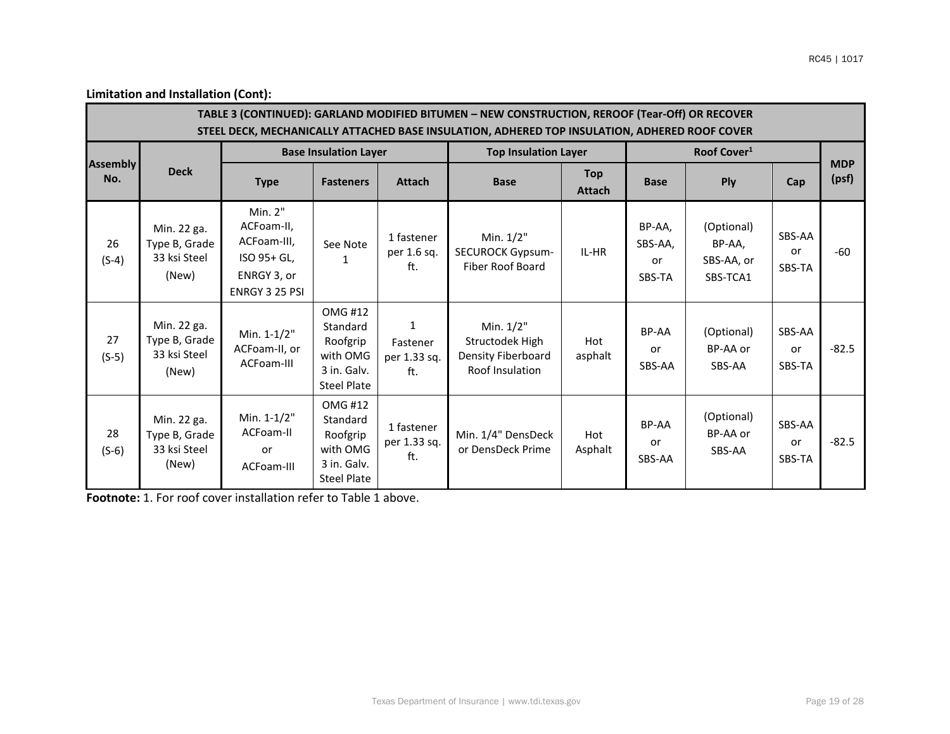$\sim$ 

**Limitation and Installation (Cont):**

| TABLE 3 (CONTINUED): GARLAND MODIFIED BITUMEN - NEW CONSTRUCTION, REROOF (Tear-Off) OR RECOVER<br>STEEL DECK, MECHANICALLY ATTACHED BASE INSULATION, ADHERED TOP INSULATION, ADHERED ROOF COVER |                                                       |                                                                                      |                                                                                         |                                                 |                                                                       |                             |                                   |                                                |                               |                     |  |
|-------------------------------------------------------------------------------------------------------------------------------------------------------------------------------------------------|-------------------------------------------------------|--------------------------------------------------------------------------------------|-----------------------------------------------------------------------------------------|-------------------------------------------------|-----------------------------------------------------------------------|-----------------------------|-----------------------------------|------------------------------------------------|-------------------------------|---------------------|--|
|                                                                                                                                                                                                 |                                                       |                                                                                      | <b>Base Insulation Layer</b>                                                            |                                                 | <b>Top Insulation Layer</b>                                           |                             |                                   | Roof Cover <sup>1</sup>                        |                               |                     |  |
| <b>Assembly</b><br>No.                                                                                                                                                                          | <b>Deck</b>                                           | <b>Type</b>                                                                          | <b>Fasteners</b>                                                                        | <b>Attach</b>                                   | <b>Base</b>                                                           | <b>Top</b><br><b>Attach</b> | <b>Base</b>                       | <b>Ply</b>                                     | Cap                           | <b>MDP</b><br>(psf) |  |
| 26<br>$(S-4)$                                                                                                                                                                                   | Min. 22 ga.<br>Type B, Grade<br>33 ksi Steel<br>(New) | Min. 2"<br>ACFoam-II,<br>ACFoam-III,<br>ISO 95+ GL,<br>ENRGY 3, or<br>ENRGY 3 25 PSI | See Note<br>1                                                                           | 1 fastener<br>per 1.6 sq.<br>ft.                | Min. 1/2"<br><b>SECUROCK Gypsum-</b><br><b>Fiber Roof Board</b>       | IL-HR                       | BP-AA,<br>SBS-AA,<br>or<br>SBS-TA | (Optional)<br>BP-AA,<br>SBS-AA, or<br>SBS-TCA1 | SBS-AA<br><b>or</b><br>SBS-TA | $-60$               |  |
| 27<br>$(S-5)$                                                                                                                                                                                   | Min. 22 ga.<br>Type B, Grade<br>33 ksi Steel<br>(New) | Min. 1-1/2"<br>ACFoam-II, or<br>ACFoam-III                                           | <b>OMG #12</b><br>Standard<br>Roofgrip<br>with OMG<br>3 in. Galv.<br><b>Steel Plate</b> | $\mathbf{1}$<br>Fastener<br>per 1.33 sq.<br>ft. | Min. 1/2"<br>Structodek High<br>Density Fiberboard<br>Roof Insulation | Hot<br>asphalt              | BP-AA<br>or<br>SBS-AA             | (Optional)<br>BP-AA or<br>SBS-AA               | SBS-AA<br><b>or</b><br>SBS-TA | $-82.5$             |  |
| 28<br>$(S-6)$                                                                                                                                                                                   | Min. 22 ga.<br>Type B, Grade<br>33 ksi Steel<br>(New) | Min. 1-1/2"<br>ACFoam-II<br><b>or</b><br>ACFoam-III                                  | <b>OMG#12</b><br>Standard<br>Roofgrip<br>with OMG<br>3 in. Galv.<br><b>Steel Plate</b>  | 1 fastener<br>per 1.33 sq.<br>ft.               | Min. 1/4" DensDeck<br>or DensDeck Prime                               | Hot<br>Asphalt              | <b>BP-AA</b><br>or<br>SBS-AA      | (Optional)<br>BP-AA or<br>SBS-AA               | SBS-AA<br><b>or</b><br>SBS-TA | $-82.5$             |  |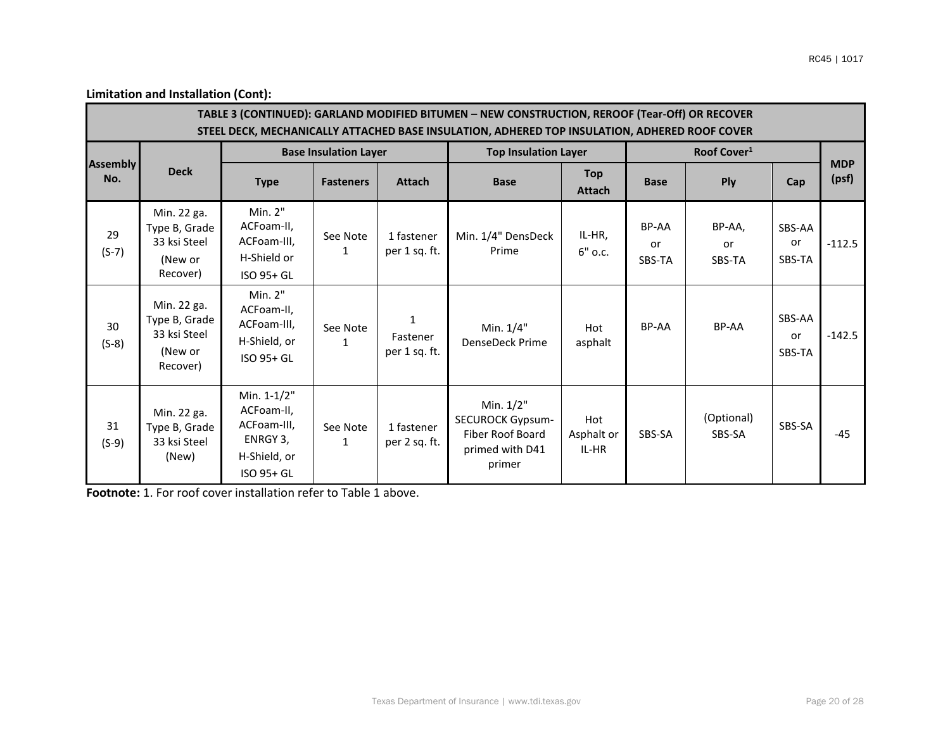|                        | TABLE 3 (CONTINUED): GARLAND MODIFIED BITUMEN - NEW CONSTRUCTION, REROOF (Tear-Off) OR RECOVER<br>STEEL DECK, MECHANICALLY ATTACHED BASE INSULATION, ADHERED TOP INSULATION, ADHERED ROOF COVER |                                                                                    |                              |                                           |                                                                                       |                             |                              |                         |                        |                     |  |  |
|------------------------|-------------------------------------------------------------------------------------------------------------------------------------------------------------------------------------------------|------------------------------------------------------------------------------------|------------------------------|-------------------------------------------|---------------------------------------------------------------------------------------|-----------------------------|------------------------------|-------------------------|------------------------|---------------------|--|--|
|                        |                                                                                                                                                                                                 |                                                                                    | <b>Base Insulation Layer</b> |                                           | <b>Top Insulation Layer</b>                                                           |                             |                              | Roof Cover <sup>1</sup> |                        |                     |  |  |
| <b>Assembly</b><br>No. | <b>Deck</b>                                                                                                                                                                                     | <b>Type</b>                                                                        | <b>Fasteners</b>             | <b>Attach</b>                             | <b>Base</b>                                                                           | <b>Top</b><br><b>Attach</b> | <b>Base</b>                  | <b>Ply</b>              | Cap                    | <b>MDP</b><br>(psf) |  |  |
| 29<br>$(S-7)$          | Min. 22 ga.<br>Type B, Grade<br>33 ksi Steel<br>(New or<br>Recover)                                                                                                                             | Min. 2"<br>ACFoam-II,<br>ACFoam-III,<br>H-Shield or<br>ISO 95+ GL                  | See Note                     | 1 fastener<br>per 1 sq. ft.               | Min. 1/4" DensDeck<br>Prime                                                           | IL-HR.<br>$6"$ o.c.         | BP-AA<br><b>or</b><br>SBS-TA | BP-AA,<br>or<br>SBS-TA  | SBS-AA<br>or<br>SBS-TA | $-112.5$            |  |  |
| 30<br>$(S-8)$          | Min. 22 ga.<br>Type B, Grade<br>33 ksi Steel<br>(New or<br>Recover)                                                                                                                             | Min. 2"<br>ACFoam-II,<br>ACFoam-III,<br>H-Shield, or<br>ISO 95+ GL                 | See Note<br>1                | $\mathbf{1}$<br>Fastener<br>per 1 sq. ft. | Min. 1/4"<br><b>DenseDeck Prime</b>                                                   | Hot<br>asphalt              | BP-AA                        | <b>BP-AA</b>            | SBS-AA<br>or<br>SBS-TA | $-142.5$            |  |  |
| 31<br>$(S-9)$          | Min. 22 ga.<br>Type B, Grade<br>33 ksi Steel<br>(New)                                                                                                                                           | Min. 1-1/2"<br>ACFoam-II,<br>ACFoam-III,<br>ENRGY 3,<br>H-Shield, or<br>ISO 95+ GL | See Note<br>1                | 1 fastener<br>per 2 sq. ft.               | Min. 1/2"<br><b>SECUROCK Gypsum-</b><br>Fiber Roof Board<br>primed with D41<br>primer | Hot<br>Asphalt or<br>IL-HR  | SBS-SA                       | (Optional)<br>SBS-SA    | SBS-SA                 | $-45$               |  |  |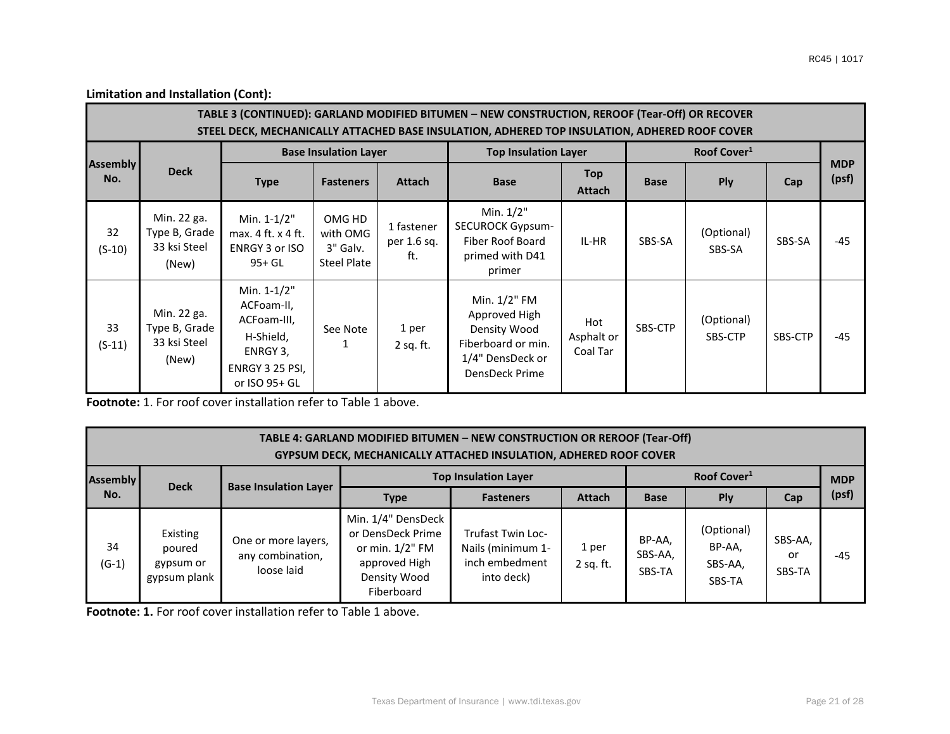|                        | TABLE 3 (CONTINUED): GARLAND MODIFIED BITUMEN - NEW CONSTRUCTION, REROOF (Tear-Off) OR RECOVER<br>STEEL DECK, MECHANICALLY ATTACHED BASE INSULATION, ADHERED TOP INSULATION, ADHERED ROOF COVER |                                                                                                       |                                                      |                                  |                                                                                                           |                               |             |                         |         |                     |  |  |  |
|------------------------|-------------------------------------------------------------------------------------------------------------------------------------------------------------------------------------------------|-------------------------------------------------------------------------------------------------------|------------------------------------------------------|----------------------------------|-----------------------------------------------------------------------------------------------------------|-------------------------------|-------------|-------------------------|---------|---------------------|--|--|--|
|                        |                                                                                                                                                                                                 |                                                                                                       | <b>Base Insulation Layer</b>                         |                                  | <b>Top Insulation Layer</b>                                                                               |                               |             | Roof Cover <sup>1</sup> |         |                     |  |  |  |
| <b>Assembly</b><br>No. | <b>Deck</b>                                                                                                                                                                                     | <b>Type</b>                                                                                           | <b>Fasteners</b>                                     | <b>Attach</b>                    | <b>Base</b>                                                                                               | <b>Top</b><br><b>Attach</b>   | <b>Base</b> | <b>Ply</b>              | Cap     | <b>MDP</b><br>(psf) |  |  |  |
| 32<br>$(S-10)$         | Min. 22 ga.<br>Type B, Grade<br>33 ksi Steel<br>(New)                                                                                                                                           | Min. $1-1/2"$<br>max. 4 ft. x 4 ft.<br>ENRGY 3 or ISO<br>$95+GL$                                      | OMG HD<br>with OMG<br>3" Galv.<br><b>Steel Plate</b> | 1 fastener<br>per 1.6 sq.<br>ft. | Min. 1/2"<br><b>SECUROCK Gypsum-</b><br>Fiber Roof Board<br>primed with D41<br>primer                     | IL-HR                         | SBS-SA      | (Optional)<br>SBS-SA    | SBS-SA  | $-45$               |  |  |  |
| 33<br>$(S-11)$         | Min. 22 ga.<br>Type B, Grade<br>33 ksi Steel<br>(New)                                                                                                                                           | Min. 1-1/2"<br>ACFoam-II,<br>ACFoam-III,<br>H-Shield,<br>ENRGY 3,<br>ENRGY 3 25 PSI,<br>or ISO 95+ GL | See Note<br>1                                        | 1 per<br>$2$ sq. ft.             | Min. 1/2" FM<br>Approved High<br>Density Wood<br>Fiberboard or min.<br>1/4" DensDeck or<br>DensDeck Prime | Hot<br>Asphalt or<br>Coal Tar | SBS-CTP     | (Optional)<br>SBS-CTP   | SBS-CTP | $-45$               |  |  |  |

**Footnote:** 1. For roof cover installation refer to Table 1 above.

| TABLE 4: GARLAND MODIFIED BITUMEN - NEW CONSTRUCTION OR REROOF (Tear-Off)<br><b>GYPSUM DECK, MECHANICALLY ATTACHED INSULATION, ADHERED ROOF COVER</b> |                                                 |                                                       |                                                                                                              |                                                                               |                    |                             |                                           |                         |            |  |  |
|-------------------------------------------------------------------------------------------------------------------------------------------------------|-------------------------------------------------|-------------------------------------------------------|--------------------------------------------------------------------------------------------------------------|-------------------------------------------------------------------------------|--------------------|-----------------------------|-------------------------------------------|-------------------------|------------|--|--|
| <b>Assembly</b>                                                                                                                                       | <b>Deck</b>                                     |                                                       |                                                                                                              | <b>Top Insulation Layer</b>                                                   |                    |                             | Roof Cover <sup>1</sup>                   |                         | <b>MDP</b> |  |  |
| No.                                                                                                                                                   |                                                 | <b>Base Insulation Layer</b>                          | <b>Type</b>                                                                                                  | <b>Fasteners</b>                                                              | <b>Attach</b>      | <b>Base</b>                 | <b>Ply</b>                                | Cap                     | (psf)      |  |  |
| 34<br>$(G-1)$                                                                                                                                         | Existing<br>poured<br>gypsum or<br>gypsum plank | One or more layers,<br>any combination,<br>loose laid | Min. 1/4" DensDeck<br>or DensDeck Prime<br>or min. $1/2$ " FM<br>approved High<br>Density Wood<br>Fiberboard | <b>Trufast Twin Loc-</b><br>Nails (minimum 1-<br>inch embedment<br>into deck) | 1 per<br>2 sq. ft. | BP-AA,<br>SBS-AA,<br>SBS-TA | (Optional)<br>BP-AA,<br>SBS-AA,<br>SBS-TA | SBS-AA,<br>or<br>SBS-TA | $-45$      |  |  |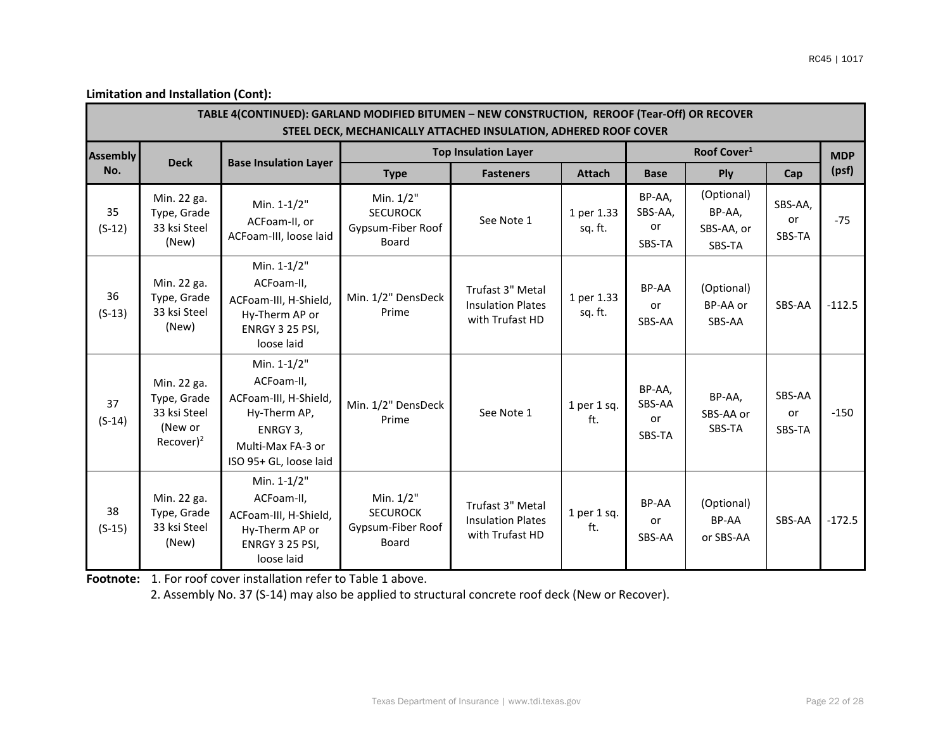|                 | TABLE 4(CONTINUED): GARLAND MODIFIED BITUMEN - NEW CONSTRUCTION, REROOF (Tear-Off) OR RECOVER<br>STEEL DECK, MECHANICALLY ATTACHED INSULATION, ADHERED ROOF COVER |                                                                                                                               |                                                                   |                                                                 |                        |                                   |                                              |                               |            |  |  |  |
|-----------------|-------------------------------------------------------------------------------------------------------------------------------------------------------------------|-------------------------------------------------------------------------------------------------------------------------------|-------------------------------------------------------------------|-----------------------------------------------------------------|------------------------|-----------------------------------|----------------------------------------------|-------------------------------|------------|--|--|--|
| <b>Assembly</b> | <b>Deck</b>                                                                                                                                                       |                                                                                                                               |                                                                   | <b>Top Insulation Layer</b>                                     |                        |                                   | Roof Cover <sup>1</sup>                      |                               | <b>MDP</b> |  |  |  |
| No.             |                                                                                                                                                                   | <b>Base Insulation Layer</b>                                                                                                  | <b>Type</b>                                                       | <b>Fasteners</b>                                                | <b>Attach</b>          | <b>Base</b>                       | Ply                                          | Cap                           | (psf)      |  |  |  |
| 35<br>$(S-12)$  | Min. 22 ga.<br>Type, Grade<br>33 ksi Steel<br>(New)                                                                                                               | Min. 1-1/2"<br>ACFoam-II, or<br>ACFoam-III, loose laid                                                                        | Min. 1/2"<br><b>SECUROCK</b><br>Gypsum-Fiber Roof<br>Board        | See Note 1                                                      | 1 per 1.33<br>sq. ft.  | BP-AA,<br>SBS-AA,<br>or<br>SBS-TA | (Optional)<br>BP-AA,<br>SBS-AA, or<br>SBS-TA | SBS-AA,<br>or<br>SBS-TA       | $-75$      |  |  |  |
| 36<br>$(S-13)$  | Min. 22 ga.<br>Type, Grade<br>33 ksi Steel<br>(New)                                                                                                               | Min. 1-1/2"<br>ACFoam-II,<br>ACFoam-III, H-Shield,<br>Hy-Therm AP or<br>ENRGY 3 25 PSI,<br>loose laid                         | Min. 1/2" DensDeck<br>Prime                                       | Trufast 3" Metal<br><b>Insulation Plates</b><br>with Trufast HD | 1 per 1.33<br>sq. ft.  | BP-AA<br>or<br>SBS-AA             | (Optional)<br>BP-AA or<br>SBS-AA             | SBS-AA                        | $-112.5$   |  |  |  |
| 37<br>$(S-14)$  | Min. 22 ga.<br>Type, Grade<br>33 ksi Steel<br>(New or<br>Recover $)^2$                                                                                            | Min. 1-1/2"<br>ACFoam-II,<br>ACFoam-III, H-Shield,<br>Hy-Therm AP,<br>ENRGY 3,<br>Multi-Max FA-3 or<br>ISO 95+ GL, loose laid | Min. 1/2" DensDeck<br>Prime                                       | See Note 1                                                      | $1$ per $1$ sq.<br>ft. | BP-AA,<br>SBS-AA<br>or<br>SBS-TA  | BP-AA,<br>SBS-AA or<br>SBS-TA                | SBS-AA<br><b>or</b><br>SBS-TA | $-150$     |  |  |  |
| 38<br>$(S-15)$  | Min. 22 ga.<br>Type, Grade<br>33 ksi Steel<br>(New)                                                                                                               | Min. 1-1/2"<br>ACFoam-II,<br>ACFoam-III, H-Shield,<br>Hy-Therm AP or<br>ENRGY 3 25 PSI,<br>loose laid                         | Min. 1/2"<br><b>SECUROCK</b><br>Gypsum-Fiber Roof<br><b>Board</b> | Trufast 3" Metal<br><b>Insulation Plates</b><br>with Trufast HD | $1$ per $1$ sq.<br>ft. | BP-AA<br>or<br>SBS-AA             | (Optional)<br>BP-AA<br>or SBS-AA             | SBS-AA                        | $-172.5$   |  |  |  |

**Footnote:** 1. For roof cover installation refer to Table 1 above.

2. Assembly No. 37 (S-14) may also be applied to structural concrete roof deck (New or Recover).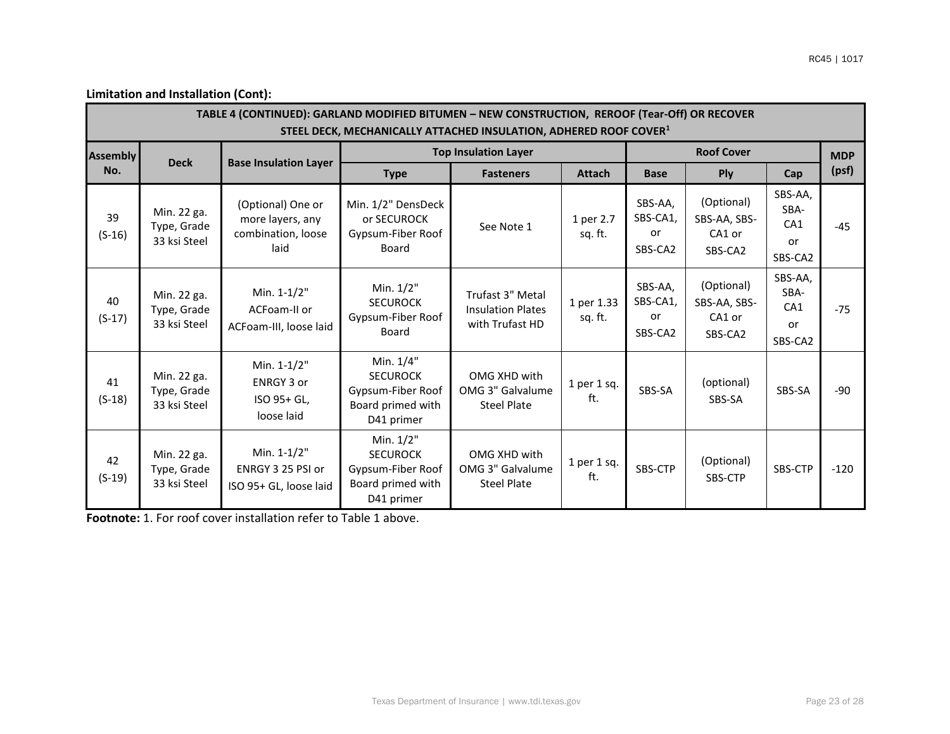|                 | TABLE 4 (CONTINUED): GARLAND MODIFIED BITUMEN - NEW CONSTRUCTION, REROOF (Tear-Off) OR RECOVER<br>STEEL DECK, MECHANICALLY ATTACHED INSULATION, ADHERED ROOF COVER <sup>1</sup> |                                                                     |                                                                                      |                                                                 |                       |                                      |                                                 |                                                     |            |  |  |  |  |
|-----------------|---------------------------------------------------------------------------------------------------------------------------------------------------------------------------------|---------------------------------------------------------------------|--------------------------------------------------------------------------------------|-----------------------------------------------------------------|-----------------------|--------------------------------------|-------------------------------------------------|-----------------------------------------------------|------------|--|--|--|--|
| <b>Assembly</b> | <b>Deck</b>                                                                                                                                                                     |                                                                     |                                                                                      | <b>Top Insulation Layer</b>                                     |                       |                                      | <b>Roof Cover</b>                               |                                                     | <b>MDP</b> |  |  |  |  |
| No.             |                                                                                                                                                                                 | <b>Base Insulation Layer</b>                                        | <b>Type</b>                                                                          | <b>Fasteners</b>                                                | <b>Attach</b>         | <b>Base</b>                          | Ply                                             | Cap                                                 | (psf)      |  |  |  |  |
| 39<br>$(S-16)$  | Min. 22 ga.<br>Type, Grade<br>33 ksi Steel                                                                                                                                      | (Optional) One or<br>more layers, any<br>combination, loose<br>laid | Min. 1/2" DensDeck<br>or SECUROCK<br>Gypsum-Fiber Roof<br>Board                      | See Note 1                                                      | 1 per 2.7<br>sq. ft.  | SBS-AA,<br>SBS-CA1,<br>or<br>SBS-CA2 | (Optional)<br>SBS-AA, SBS-<br>CA1 or<br>SBS-CA2 | SBS-AA,<br>SBA-<br>CA <sub>1</sub><br>or<br>SBS-CA2 | $-45$      |  |  |  |  |
| 40<br>$(S-17)$  | Min. 22 ga.<br>Type, Grade<br>33 ksi Steel                                                                                                                                      | Min. 1-1/2"<br>ACFoam-II or<br>ACFoam-III, loose laid               | Min. 1/2"<br><b>SECUROCK</b><br>Gypsum-Fiber Roof<br>Board                           | Trufast 3" Metal<br><b>Insulation Plates</b><br>with Trufast HD | 1 per 1.33<br>sq. ft. | SBS-AA,<br>SBS-CA1,<br>or<br>SBS-CA2 | (Optional)<br>SBS-AA, SBS-<br>CA1 or<br>SBS-CA2 | SBS-AA,<br>SBA-<br>CA <sub>1</sub><br>or<br>SBS-CA2 | $-75$      |  |  |  |  |
| 41<br>$(S-18)$  | Min. 22 ga.<br>Type, Grade<br>33 ksi Steel                                                                                                                                      | Min. 1-1/2"<br><b>ENRGY 3 or</b><br>ISO 95+ GL,<br>loose laid       | Min. 1/4"<br><b>SECUROCK</b><br>Gypsum-Fiber Roof<br>Board primed with<br>D41 primer | OMG XHD with<br>OMG 3" Galvalume<br><b>Steel Plate</b>          | 1 per 1 sq.<br>ft.    | SBS-SA                               | (optional)<br>SBS-SA                            | SBS-SA                                              | $-90$      |  |  |  |  |
| 42<br>$(S-19)$  | Min. 22 ga.<br>Type, Grade<br>33 ksi Steel                                                                                                                                      | Min. 1-1/2"<br>ENRGY 3 25 PSI or<br>ISO 95+ GL, loose laid          | Min. 1/2"<br><b>SECUROCK</b><br>Gypsum-Fiber Roof<br>Board primed with<br>D41 primer | OMG XHD with<br>OMG 3" Galvalume<br>Steel Plate                 | 1 per 1 sq.<br>ft.    | SBS-CTP                              | (Optional)<br>SBS-CTP                           | SBS-CTP                                             | $-120$     |  |  |  |  |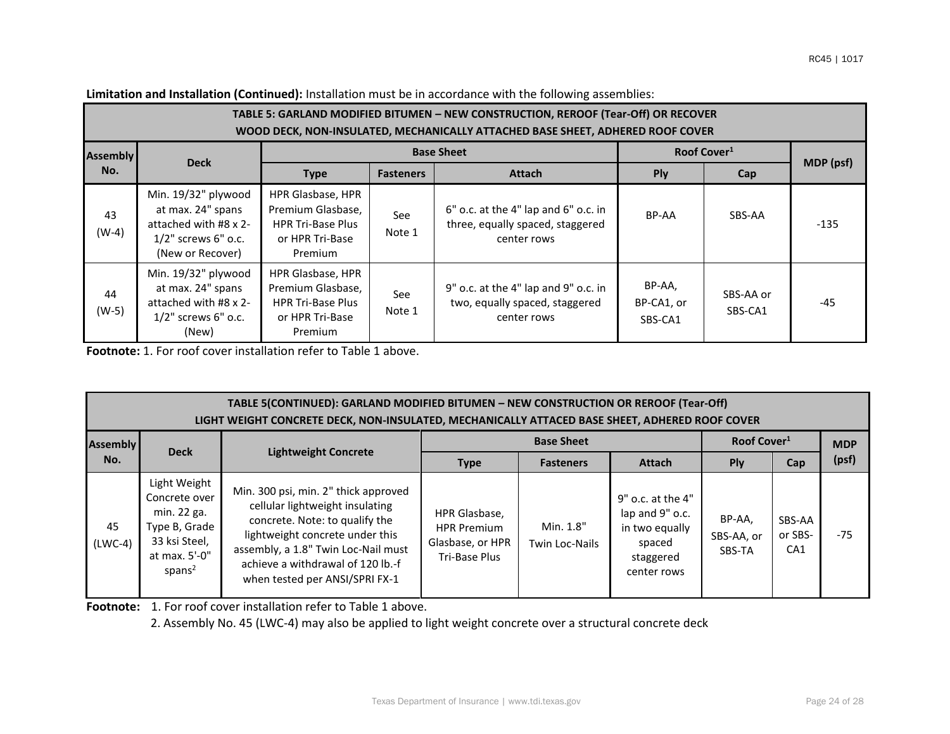|                 | TABLE 5: GARLAND MODIFIED BITUMEN - NEW CONSTRUCTION, REROOF (Tear-Off) OR RECOVER<br>WOOD DECK, NON-INSULATED, MECHANICALLY ATTACHED BASE SHEET, ADHERED ROOF COVER |                                                                                                  |                  |                                                                                         |                                 |                         |           |  |  |  |  |  |
|-----------------|----------------------------------------------------------------------------------------------------------------------------------------------------------------------|--------------------------------------------------------------------------------------------------|------------------|-----------------------------------------------------------------------------------------|---------------------------------|-------------------------|-----------|--|--|--|--|--|
| <b>Assembly</b> |                                                                                                                                                                      |                                                                                                  |                  | <b>Base Sheet</b>                                                                       |                                 | Roof Cover <sup>1</sup> |           |  |  |  |  |  |
| No.             | <b>Deck</b>                                                                                                                                                          | <b>Type</b>                                                                                      | <b>Fasteners</b> | <b>Attach</b>                                                                           | Ply                             | Cap                     | MDP (psf) |  |  |  |  |  |
| 43<br>$(W-4)$   | Min. 19/32" plywood<br>at max. 24" spans<br>attached with #8 x 2-<br>$1/2$ " screws 6" o.c.<br>(New or Recover)                                                      | HPR Glasbase, HPR<br>Premium Glasbase.<br><b>HPR Tri-Base Plus</b><br>or HPR Tri-Base<br>Premium | See<br>Note 1    | 6" o.c. at the 4" lap and 6" o.c. in<br>three, equally spaced, staggered<br>center rows | BP-AA                           | SBS-AA                  | $-135$    |  |  |  |  |  |
| 44<br>$(W-5)$   | Min. 19/32" plywood<br>at max. 24" spans<br>attached with #8 x 2-<br>$1/2$ " screws 6" o.c.<br>(New)                                                                 | HPR Glasbase, HPR<br>Premium Glasbase,<br><b>HPR Tri-Base Plus</b><br>or HPR Tri-Base<br>Premium | See<br>Note 1    | 9" o.c. at the 4" lap and 9" o.c. in<br>two, equally spaced, staggered<br>center rows   | BP-AA,<br>BP-CA1, or<br>SBS-CA1 | SBS-AA or<br>SBS-CA1    | -45       |  |  |  |  |  |

**Limitation and Installation (Continued):** Installation must be in accordance with the following assemblies:

**Footnote:** 1. For roof cover installation refer to Table 1 above.

| TABLE 5(CONTINUED): GARLAND MODIFIED BITUMEN - NEW CONSTRUCTION OR REROOF (Tear-Off)<br>LIGHT WEIGHT CONCRETE DECK, NON-INSULATED, MECHANICALLY ATTACED BASE SHEET, ADHERED ROOF COVER |                                                                                                                       |                                                                                                                                                                                                                                                            |                                                                          |                             |                                                                                              |                                |                          |            |  |  |  |
|----------------------------------------------------------------------------------------------------------------------------------------------------------------------------------------|-----------------------------------------------------------------------------------------------------------------------|------------------------------------------------------------------------------------------------------------------------------------------------------------------------------------------------------------------------------------------------------------|--------------------------------------------------------------------------|-----------------------------|----------------------------------------------------------------------------------------------|--------------------------------|--------------------------|------------|--|--|--|
| <b>Assembly</b>                                                                                                                                                                        |                                                                                                                       |                                                                                                                                                                                                                                                            |                                                                          | <b>Base Sheet</b>           |                                                                                              | Roof Cover <sup>1</sup>        |                          | <b>MDP</b> |  |  |  |
| No.                                                                                                                                                                                    | <b>Deck</b>                                                                                                           | <b>Lightweight Concrete</b>                                                                                                                                                                                                                                | <b>Type</b>                                                              | <b>Fasteners</b>            | <b>Attach</b>                                                                                | <b>Ply</b>                     | Cap                      | (psf)      |  |  |  |
| 45<br>$(LWC-4)$                                                                                                                                                                        | Light Weight<br>Concrete over<br>min. 22 ga.<br>Type B, Grade<br>33 ksi Steel,<br>at max. 5'-0"<br>spans <sup>2</sup> | Min. 300 psi, min. 2" thick approved<br>cellular lightweight insulating<br>concrete. Note: to qualify the<br>lightweight concrete under this<br>assembly, a 1.8" Twin Loc-Nail must<br>achieve a withdrawal of 120 lb.-f<br>when tested per ANSI/SPRI FX-1 | HPR Glasbase,<br><b>HPR Premium</b><br>Glasbase, or HPR<br>Tri-Base Plus | Min. 1.8"<br>Twin Loc-Nails | 9" o.c. at the 4"<br>lap and 9" o.c.<br>in two equally<br>spaced<br>staggered<br>center rows | BP-AA,<br>SBS-AA, or<br>SBS-TA | SBS-AA<br>or SBS-<br>CA1 | $-75$      |  |  |  |

**Footnote:** 1. For roof cover installation refer to Table 1 above.

2. Assembly No. 45 (LWC-4) may also be applied to light weight concrete over a structural concrete deck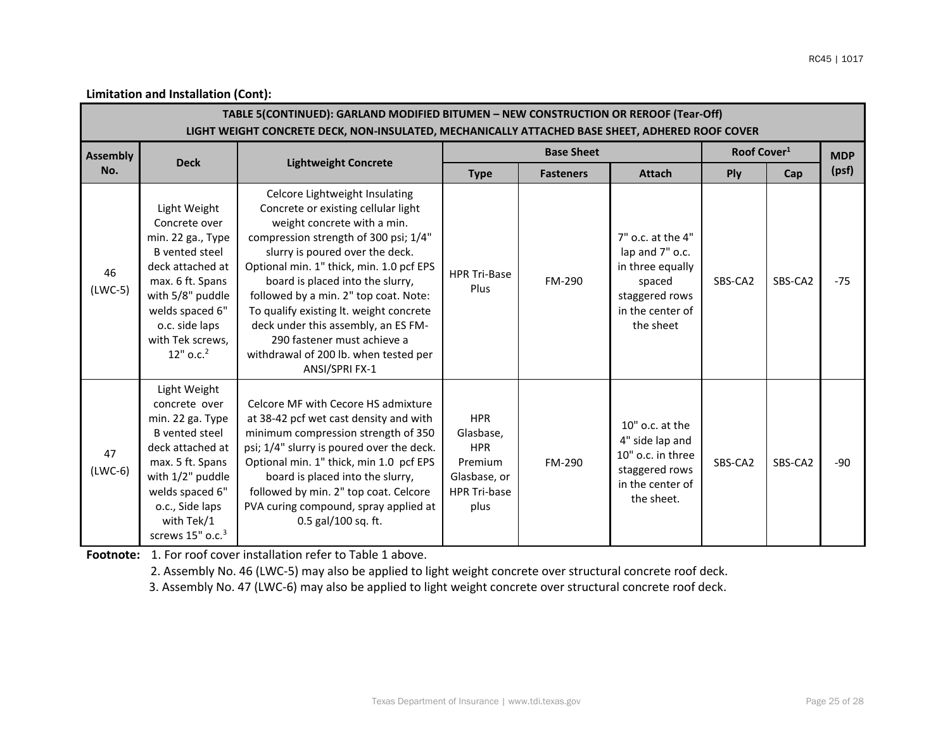|                 | TABLE 5(CONTINUED): GARLAND MODIFIED BITUMEN - NEW CONSTRUCTION OR REROOF (Tear-Off)<br>LIGHT WEIGHT CONCRETE DECK, NON-INSULATED, MECHANICALLY ATTACHED BASE SHEET, ADHERED ROOF COVER                                    |                                                                                                                                                                                                                                                                                                                                                                                                                                                                                       |                                                                                                 |                   |                                                                                                                       |                         |         |            |  |  |  |  |
|-----------------|----------------------------------------------------------------------------------------------------------------------------------------------------------------------------------------------------------------------------|---------------------------------------------------------------------------------------------------------------------------------------------------------------------------------------------------------------------------------------------------------------------------------------------------------------------------------------------------------------------------------------------------------------------------------------------------------------------------------------|-------------------------------------------------------------------------------------------------|-------------------|-----------------------------------------------------------------------------------------------------------------------|-------------------------|---------|------------|--|--|--|--|
| <b>Assembly</b> |                                                                                                                                                                                                                            |                                                                                                                                                                                                                                                                                                                                                                                                                                                                                       |                                                                                                 | <b>Base Sheet</b> |                                                                                                                       | Roof Cover <sup>1</sup> |         | <b>MDP</b> |  |  |  |  |
| No.             | <b>Deck</b>                                                                                                                                                                                                                | <b>Lightweight Concrete</b>                                                                                                                                                                                                                                                                                                                                                                                                                                                           | <b>Type</b>                                                                                     | <b>Fasteners</b>  | <b>Attach</b>                                                                                                         | Ply                     | Cap     | (psf)      |  |  |  |  |
| 46<br>$(LWC-5)$ | Light Weight<br>Concrete over<br>min. 22 ga., Type<br><b>B</b> vented steel<br>deck attached at<br>max. 6 ft. Spans<br>with 5/8" puddle<br>welds spaced 6"<br>o.c. side laps<br>with Tek screws,<br>12" o.c. <sup>2</sup>  | Celcore Lightweight Insulating<br>Concrete or existing cellular light<br>weight concrete with a min.<br>compression strength of 300 psi; 1/4"<br>slurry is poured over the deck.<br>Optional min. 1" thick, min. 1.0 pcf EPS<br>board is placed into the slurry,<br>followed by a min. 2" top coat. Note:<br>To qualify existing lt. weight concrete<br>deck under this assembly, an ES FM-<br>290 fastener must achieve a<br>withdrawal of 200 lb. when tested per<br>ANSI/SPRI FX-1 | <b>HPR Tri-Base</b><br>Plus                                                                     | FM-290            | 7" o.c. at the 4"<br>lap and 7" o.c.<br>in three equally<br>spaced<br>staggered rows<br>in the center of<br>the sheet | SBS-CA2                 | SBS-CA2 | $-75$      |  |  |  |  |
| 47<br>$(LWC-6)$ | Light Weight<br>concrete over<br>min. 22 ga. Type<br><b>B</b> vented steel<br>deck attached at<br>max. 5 ft. Spans<br>with 1/2" puddle<br>welds spaced 6"<br>o.c., Side laps<br>with Tek/1<br>screws 15" o.c. <sup>3</sup> | Celcore MF with Cecore HS admixture<br>at 38-42 pcf wet cast density and with<br>minimum compression strength of 350<br>psi; 1/4" slurry is poured over the deck.<br>Optional min. 1" thick, min 1.0 pcf EPS<br>board is placed into the slurry,<br>followed by min. 2" top coat. Celcore<br>PVA curing compound, spray applied at<br>0.5 gal/100 sq. ft.                                                                                                                             | <b>HPR</b><br>Glasbase,<br><b>HPR</b><br>Premium<br>Glasbase, or<br><b>HPR Tri-base</b><br>plus | FM-290            | $10"$ o.c. at the<br>4" side lap and<br>10" o.c. in three<br>staggered rows<br>in the center of<br>the sheet.         | SBS-CA2                 | SBS-CA2 | -90        |  |  |  |  |

Footnote: 1. For roof cover installation refer to Table 1 above.

2. Assembly No. 46 (LWC-5) may also be applied to light weight concrete over structural concrete roof deck.

3. Assembly No. 47 (LWC-6) may also be applied to light weight concrete over structural concrete roof deck.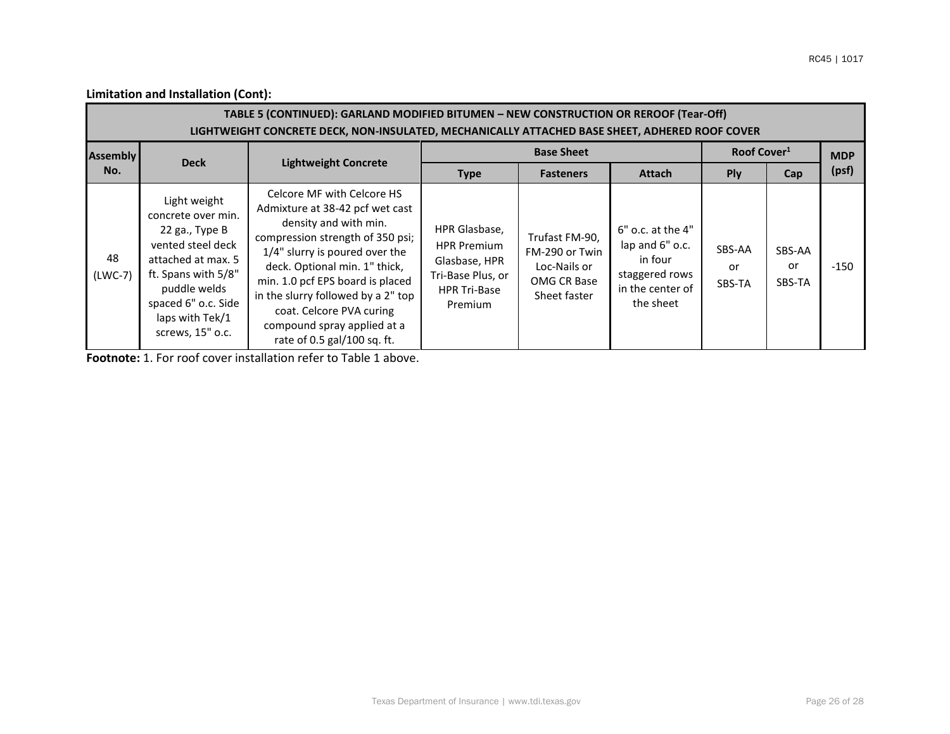| TABLE 5 (CONTINUED): GARLAND MODIFIED BITUMEN - NEW CONSTRUCTION OR REROOF (Tear-Off)<br>LIGHTWEIGHT CONCRETE DECK, NON-INSULATED, MECHANICALLY ATTACHED BASE SHEET, ADHERED ROOF COVER |                                                                                                                                                                                                      |                                                                                                                                                                                                                                                                                                                                                                     |                                                                                                             |                                                                                 |                                                                                                        |                         |                        |            |  |  |  |
|-----------------------------------------------------------------------------------------------------------------------------------------------------------------------------------------|------------------------------------------------------------------------------------------------------------------------------------------------------------------------------------------------------|---------------------------------------------------------------------------------------------------------------------------------------------------------------------------------------------------------------------------------------------------------------------------------------------------------------------------------------------------------------------|-------------------------------------------------------------------------------------------------------------|---------------------------------------------------------------------------------|--------------------------------------------------------------------------------------------------------|-------------------------|------------------------|------------|--|--|--|
| <b>Assembly</b>                                                                                                                                                                         | <b>Deck</b>                                                                                                                                                                                          | <b>Lightweight Concrete</b>                                                                                                                                                                                                                                                                                                                                         |                                                                                                             | <b>Base Sheet</b>                                                               |                                                                                                        | Roof Cover <sup>1</sup> |                        | <b>MDP</b> |  |  |  |
| No.                                                                                                                                                                                     |                                                                                                                                                                                                      |                                                                                                                                                                                                                                                                                                                                                                     | <b>Type</b>                                                                                                 | <b>Fasteners</b>                                                                | <b>Attach</b>                                                                                          | Ply                     | Cap                    | (psf)      |  |  |  |
| 48<br>$(LWC-7)$                                                                                                                                                                         | Light weight<br>concrete over min.<br>22 ga., Type B<br>vented steel deck<br>attached at max. 5<br>ft. Spans with 5/8"<br>puddle welds<br>spaced 6" o.c. Side<br>laps with Tek/1<br>screws, 15" o.c. | Celcore MF with Celcore HS<br>Admixture at 38-42 pcf wet cast<br>density and with min.<br>compression strength of 350 psi;<br>1/4" slurry is poured over the<br>deck. Optional min. 1" thick,<br>min. 1.0 pcf EPS board is placed<br>in the slurry followed by a 2" top<br>coat. Celcore PVA curing<br>compound spray applied at a<br>rate of $0.5$ gal/100 sq. ft. | HPR Glasbase,<br><b>HPR Premium</b><br>Glasbase, HPR<br>Tri-Base Plus, or<br><b>HPR Tri-Base</b><br>Premium | Trufast FM-90,<br>FM-290 or Twin<br>Loc-Nails or<br>OMG CR Base<br>Sheet faster | $6"$ o.c. at the $4"$<br>lap and 6" o.c.<br>in four<br>staggered rows<br>in the center of<br>the sheet | SBS-AA<br>or<br>SBS-TA  | SBS-AA<br>or<br>SBS-TA | -150       |  |  |  |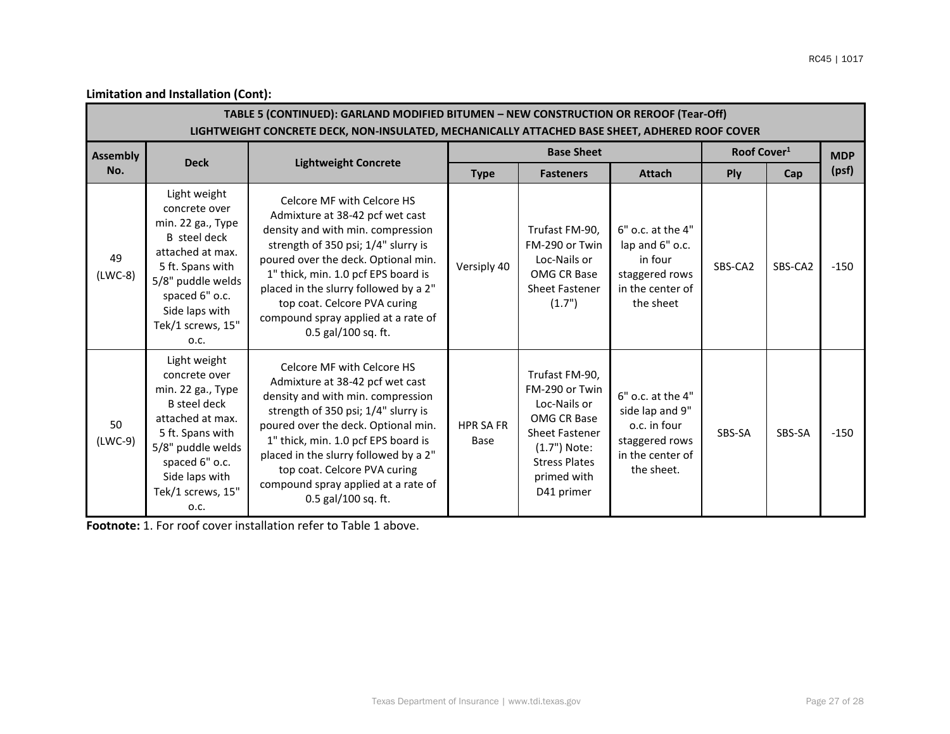| TABLE 5 (CONTINUED): GARLAND MODIFIED BITUMEN - NEW CONSTRUCTION OR REROOF (Tear-Off)<br>LIGHTWEIGHT CONCRETE DECK, NON-INSULATED, MECHANICALLY ATTACHED BASE SHEET, ADHERED ROOF COVER |                                                                                                                                                                                                                                                                                                                                                                                                                                                                                                                                                                    |                                                                                                                                                                                                                                                                                                                                                                |                          |                                                                                                                                                               |                                                                                                          |                         |         |            |  |  |  |  |
|-----------------------------------------------------------------------------------------------------------------------------------------------------------------------------------------|--------------------------------------------------------------------------------------------------------------------------------------------------------------------------------------------------------------------------------------------------------------------------------------------------------------------------------------------------------------------------------------------------------------------------------------------------------------------------------------------------------------------------------------------------------------------|----------------------------------------------------------------------------------------------------------------------------------------------------------------------------------------------------------------------------------------------------------------------------------------------------------------------------------------------------------------|--------------------------|---------------------------------------------------------------------------------------------------------------------------------------------------------------|----------------------------------------------------------------------------------------------------------|-------------------------|---------|------------|--|--|--|--|
| <b>Assembly</b><br>No.                                                                                                                                                                  | <b>Deck</b>                                                                                                                                                                                                                                                                                                                                                                                                                                                                                                                                                        |                                                                                                                                                                                                                                                                                                                                                                | <b>Base Sheet</b>        |                                                                                                                                                               |                                                                                                          | Roof Cover <sup>1</sup> |         | <b>MDP</b> |  |  |  |  |
|                                                                                                                                                                                         |                                                                                                                                                                                                                                                                                                                                                                                                                                                                                                                                                                    | <b>Lightweight Concrete</b>                                                                                                                                                                                                                                                                                                                                    | <b>Type</b>              | <b>Fasteners</b>                                                                                                                                              | <b>Attach</b>                                                                                            | Ply                     | Cap     | (psf)      |  |  |  |  |
| 49<br>$(LWC-8)$                                                                                                                                                                         | Light weight<br>concrete over<br>min. 22 ga., Type<br><b>B</b> steel deck<br>attached at max.<br>5 ft. Spans with<br>5/8" puddle welds<br>spaced 6" o.c.<br>Side laps with<br>Tek/1 screws, 15"<br>O.C.                                                                                                                                                                                                                                                                                                                                                            | Celcore MF with Celcore HS<br>Admixture at 38-42 pcf wet cast<br>density and with min. compression<br>strength of 350 psi; 1/4" slurry is<br>poured over the deck. Optional min.<br>1" thick, min. 1.0 pcf EPS board is<br>placed in the slurry followed by a 2"<br>top coat. Celcore PVA curing<br>compound spray applied at a rate of<br>0.5 gal/100 sq. ft. | Versiply 40              | Trufast FM-90,<br>FM-290 or Twin<br>Loc-Nails or<br>OMG CR Base<br><b>Sheet Fastener</b><br>(1.7")                                                            | 6" o.c. at the 4"<br>lap and 6" o.c.<br>in four<br>staggered rows<br>in the center of<br>the sheet       | SBS-CA2                 | SBS-CA2 | $-150$     |  |  |  |  |
| 50<br>$(LWC-9)$                                                                                                                                                                         | Light weight<br>Celcore MF with Celcore HS<br>concrete over<br>Admixture at 38-42 pcf wet cast<br>min. 22 ga., Type<br>density and with min. compression<br>B steel deck<br>strength of 350 psi; 1/4" slurry is<br>attached at max.<br>poured over the deck. Optional min.<br>5 ft. Spans with<br>1" thick, min. 1.0 pcf EPS board is<br>5/8" puddle welds<br>placed in the slurry followed by a 2"<br>spaced 6" o.c.<br>top coat. Celcore PVA curing<br>Side laps with<br>compound spray applied at a rate of<br>Tek/1 screws, 15"<br>0.5 gal/100 sq. ft.<br>O.C. |                                                                                                                                                                                                                                                                                                                                                                | <b>HPR SA FR</b><br>Base | Trufast FM-90,<br>FM-290 or Twin<br>Loc-Nails or<br>OMG CR Base<br><b>Sheet Fastener</b><br>(1.7") Note:<br><b>Stress Plates</b><br>primed with<br>D41 primer | 6" o.c. at the 4"<br>side lap and 9"<br>o.c. in four<br>staggered rows<br>in the center of<br>the sheet. | SBS-SA                  | SBS-SA  | $-150$     |  |  |  |  |